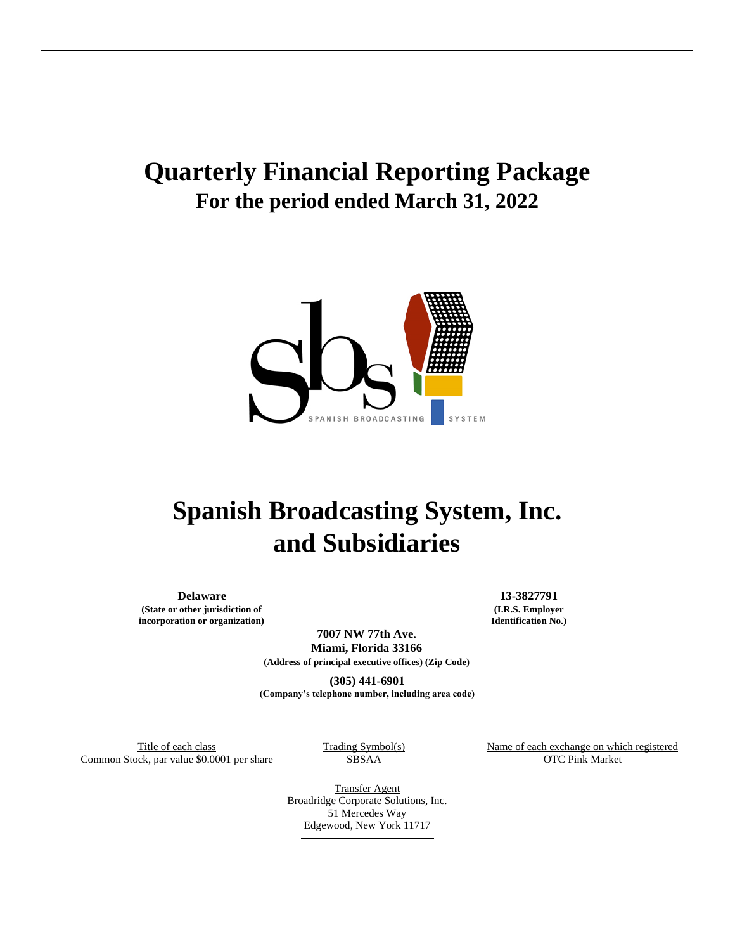# **Quarterly Financial Reporting Package For the period ended March 31, 2022**



# **Spanish Broadcasting System, Inc. and Subsidiaries**

**(State or other jurisdiction of incorporation or organization)**

**Delaware 13-3827791 (I.R.S. Employer Identification No.)**

> **7007 NW 77th Ave. Miami, Florida 33166 (Address of principal executive offices) (Zip Code)**

**(305) 441-6901 (Company's telephone number, including area code)**

Common Stock, par value \$0.0001 per share SBSAA

Trading Symbol(s) Name of each exchange on which registered<br>  $\frac{360}{x}$  Name of each exchange on which registered<br>
OTC Pink Market

Transfer Agent Broadridge Corporate Solutions, Inc. 51 Mercedes Way Edgewood, New York 11717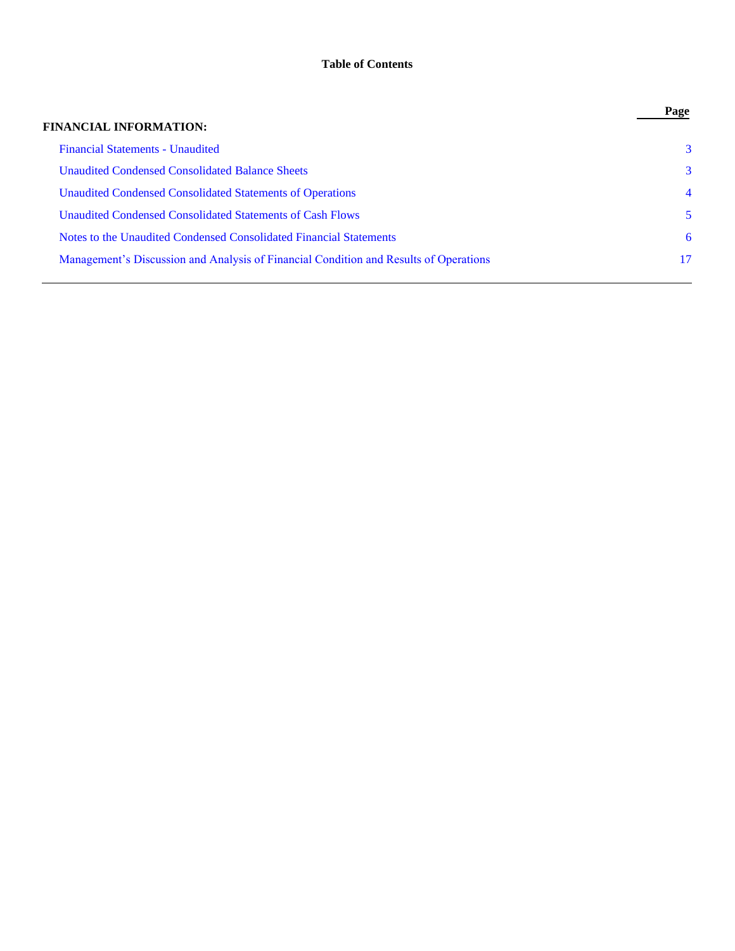# **Table of Contents**

|                                                                                       | Page           |
|---------------------------------------------------------------------------------------|----------------|
| <b>FINANCIAL INFORMATION:</b>                                                         |                |
| <b>Financial Statements - Unaudited</b>                                               | 3              |
| <b>Unaudited Condensed Consolidated Balance Sheets</b>                                | 3              |
| Unaudited Condensed Consolidated Statements of Operations                             | $\overline{4}$ |
| Unaudited Condensed Consolidated Statements of Cash Flows                             | 5              |
| Notes to the Unaudited Condensed Consolidated Financial Statements                    | 6              |
| Management's Discussion and Analysis of Financial Condition and Results of Operations | 17             |
|                                                                                       |                |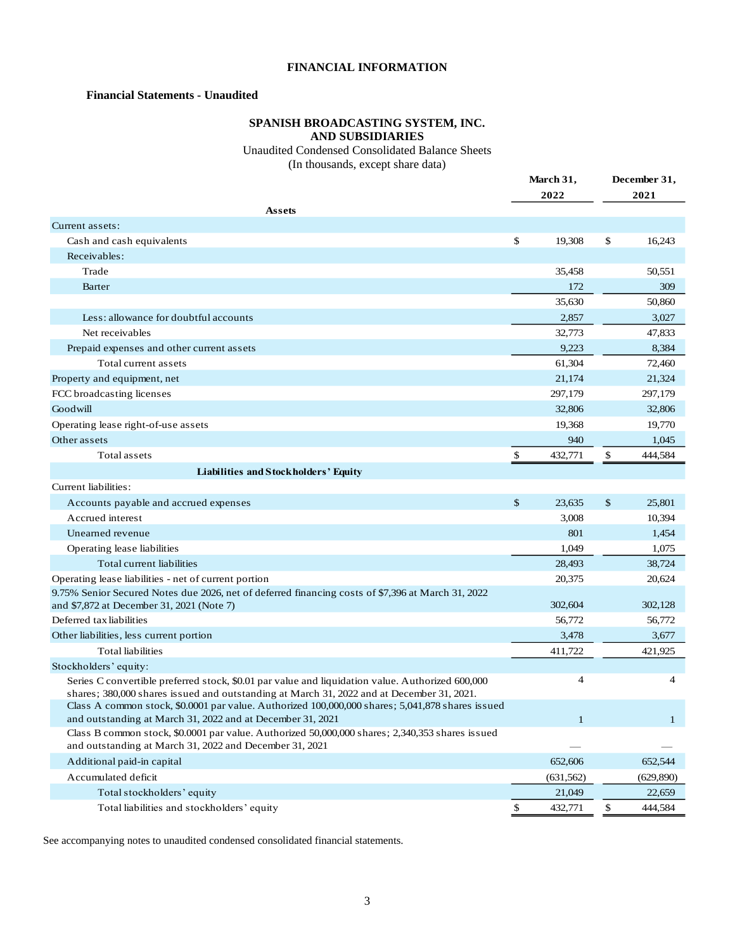# **FINANCIAL INFORMATION**

# <span id="page-2-0"></span>**Financial Statements - Unaudited**

# **SPANISH BROADCASTING SYSTEM, INC. AND SUBSIDIARIES**

Unaudited Condensed Consolidated Balance Sheets

(In thousands, except share data)

<span id="page-2-1"></span>

|                                                                                                                                                                | March 31,<br>2022 |    | December 31,<br>2021 |
|----------------------------------------------------------------------------------------------------------------------------------------------------------------|-------------------|----|----------------------|
| Assets                                                                                                                                                         |                   |    |                      |
| Current assets:                                                                                                                                                |                   |    |                      |
| Cash and cash equivalents                                                                                                                                      | \$<br>19,308      | \$ | 16,243               |
| Receivables:                                                                                                                                                   |                   |    |                      |
| Trade                                                                                                                                                          | 35,458            |    | 50,551               |
| Barter                                                                                                                                                         | 172               |    | 309                  |
|                                                                                                                                                                | 35,630            |    | 50,860               |
| Less: allowance for doubtful accounts                                                                                                                          | 2,857             |    | 3,027                |
| Net receivables                                                                                                                                                | 32,773            |    | 47,833               |
| Prepaid expenses and other current assets                                                                                                                      | 9,223             |    | 8,384                |
| Total current assets                                                                                                                                           | 61,304            |    | 72,460               |
| Property and equipment, net                                                                                                                                    | 21,174            |    | 21,324               |
| FCC broadcasting licenses                                                                                                                                      | 297,179           |    | 297,179              |
| Goodwill                                                                                                                                                       | 32,806            |    | 32,806               |
| Operating lease right-of-use assets                                                                                                                            | 19,368            |    | 19,770               |
| Other assets                                                                                                                                                   | 940               |    | 1,045                |
| Total assets                                                                                                                                                   | \$<br>432,771     | \$ | 444,584              |
| Liabilities and Stockholders' Equity                                                                                                                           |                   |    |                      |
| Current liabilities:                                                                                                                                           |                   |    |                      |
| Accounts payable and accrued expenses                                                                                                                          | \$<br>23,635      | \$ | 25,801               |
| Accrued interest                                                                                                                                               | 3,008             |    | 10,394               |
| Unearned revenue                                                                                                                                               | 801               |    | 1,454                |
| Operating lease liabilities                                                                                                                                    | 1,049             |    | 1,075                |
| Total current liabilities                                                                                                                                      | 28,493            |    | 38,724               |
| Operating lease liabilities - net of current portion                                                                                                           | 20,375            |    | 20,624               |
| 9.75% Senior Secured Notes due 2026, net of deferred financing costs of \$7,396 at March 31, 2022                                                              |                   |    |                      |
| and \$7,872 at December 31, 2021 (Note 7)                                                                                                                      | 302,604           |    | 302,128              |
| Deferred tax liabilities                                                                                                                                       | 56,772            |    | 56,772               |
| Other liabilities, less current portion                                                                                                                        | 3,478             |    | 3,677                |
| <b>Total liabilities</b>                                                                                                                                       | 411,722           |    | 421,925              |
| Stockholders' equity:                                                                                                                                          |                   |    |                      |
| Series C convertible preferred stock, \$0.01 par value and liquidation value. Authorized 600,000                                                               | $\overline{4}$    |    | $\overline{4}$       |
| shares; 380,000 shares issued and outstanding at March 31, 2022 and at December 31, 2021.                                                                      |                   |    |                      |
| Class A common stock, \$0.0001 par value. Authorized 100,000,000 shares; 5,041,878 shares issued<br>and outstanding at March 31, 2022 and at December 31, 2021 | $\mathbf{1}$      |    | $\mathbf{1}$         |
| Class B common stock, \$0.0001 par value. Authorized 50,000,000 shares; 2,340,353 shares issued                                                                |                   |    |                      |
| and outstanding at March 31, 2022 and December 31, 2021                                                                                                        |                   |    |                      |
| Additional paid-in capital                                                                                                                                     | 652,606           |    | 652,544              |
| Accumulated deficit                                                                                                                                            | (631, 562)        |    | (629, 890)           |
| Total stockholders' equity                                                                                                                                     | 21,049            |    | 22,659               |
| Total liabilities and stockholders' equity                                                                                                                     | \$<br>432,771     | \$ | 444,584              |

See accompanying notes to unaudited condensed consolidated financial statements.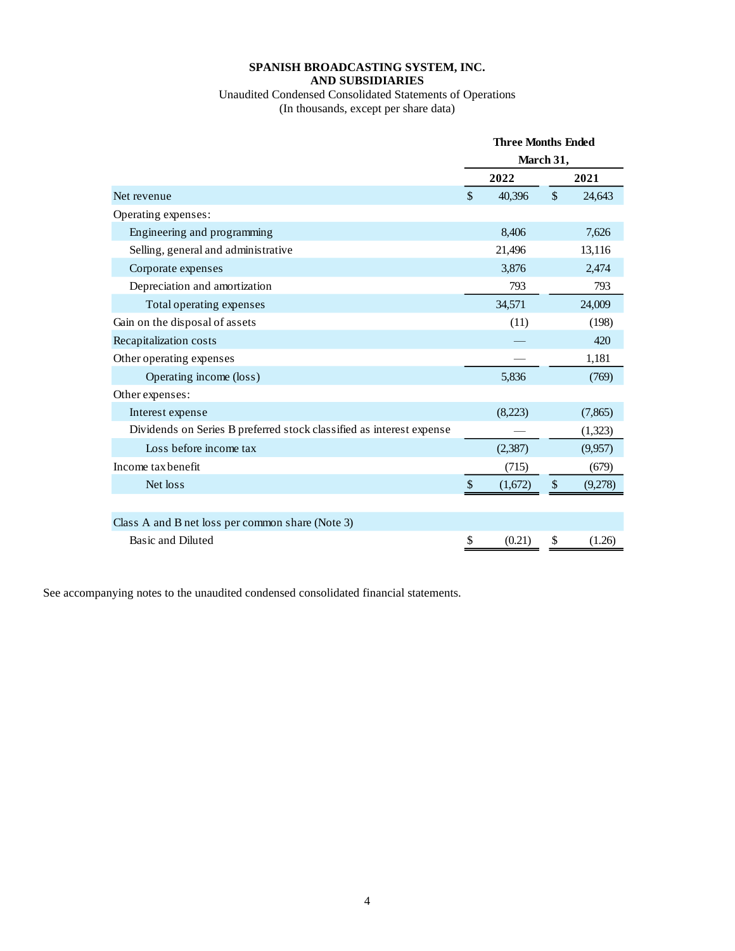## **SPANISH BROADCASTING SYSTEM, INC. AND SUBSIDIARIES**

# Unaudited Condensed Consolidated Statements of Operations (In thousands, except per share data)

<span id="page-3-0"></span>

|                                                                      |               | <b>Three Months Ended</b> |                           |         |
|----------------------------------------------------------------------|---------------|---------------------------|---------------------------|---------|
|                                                                      |               |                           | March 31,                 |         |
|                                                                      |               | 2022                      |                           | 2021    |
| Net revenue                                                          | $\mathcal{S}$ | 40,396                    | $\mathcal{S}$             | 24,643  |
| Operating expenses:                                                  |               |                           |                           |         |
| Engineering and programming                                          |               | 8,406                     |                           | 7,626   |
| Selling, general and administrative                                  |               | 21,496                    |                           | 13,116  |
| Corporate expenses                                                   |               | 3,876                     |                           | 2,474   |
| Depreciation and amortization                                        |               | 793                       |                           | 793     |
| Total operating expenses                                             |               | 34,571                    |                           | 24,009  |
| Gain on the disposal of assets                                       |               | (11)                      |                           | (198)   |
| Recapitalization costs                                               |               |                           |                           | 420     |
| Other operating expenses                                             |               |                           |                           | 1,181   |
| Operating income (loss)                                              |               | 5,836                     |                           | (769)   |
| Other expenses:                                                      |               |                           |                           |         |
| Interest expense                                                     |               | (8,223)                   |                           | (7,865) |
| Dividends on Series B preferred stock classified as interest expense |               |                           |                           | (1,323) |
| Loss before income tax                                               |               | (2, 387)                  |                           | (9,957) |
| Income tax benefit                                                   |               | (715)                     |                           | (679)   |
| Net loss                                                             | \$            | (1,672)                   | $\boldsymbol{\mathsf{S}}$ | (9,278) |
|                                                                      |               |                           |                           |         |
| Class A and B net loss per common share (Note 3)                     |               |                           |                           |         |
| Basic and Diluted                                                    | \$            | (0.21)                    | \$                        | (1.26)  |

See accompanying notes to the unaudited condensed consolidated financial statements.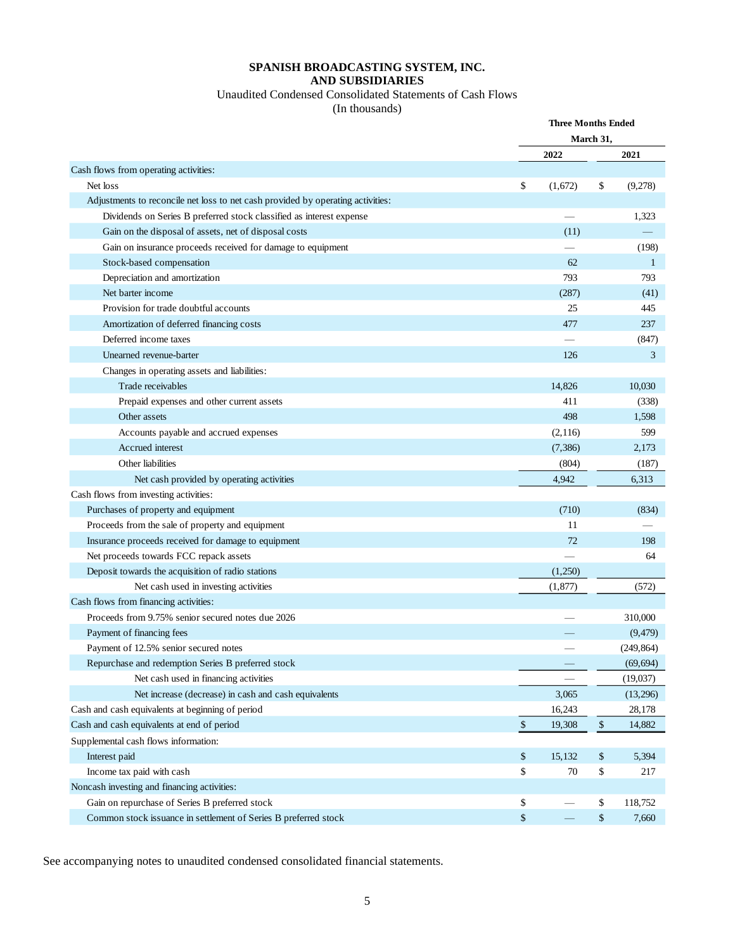# **SPANISH BROADCASTING SYSTEM, INC. AND SUBSIDIARIES**

# Unaudited Condensed Consolidated Statements of Cash Flows

(In thousands)

<span id="page-4-0"></span>

|                                                                                 |              | <b>Three Months Ended</b> |      |            |
|---------------------------------------------------------------------------------|--------------|---------------------------|------|------------|
|                                                                                 |              | March 31,                 |      |            |
|                                                                                 |              | 2022                      |      | 2021       |
| Cash flows from operating activities:                                           |              |                           |      |            |
| Net loss                                                                        | \$           | (1,672)                   | \$   | (9,278)    |
| Adjustments to reconcile net loss to net cash provided by operating activities: |              |                           |      |            |
| Dividends on Series B preferred stock classified as interest expense            |              |                           |      | 1,323      |
| Gain on the disposal of assets, net of disposal costs                           |              | (11)                      |      |            |
| Gain on insurance proceeds received for damage to equipment                     |              |                           |      | (198)      |
| Stock-based compensation                                                        |              | 62                        |      | 1          |
| Depreciation and amortization                                                   |              | 793                       |      | 793        |
| Net barter income                                                               |              | (287)                     |      | (41)       |
| Provision for trade doubtful accounts                                           |              | 25                        |      | 445        |
| Amortization of deferred financing costs                                        |              | 477                       |      | 237        |
| Deferred income taxes                                                           |              |                           |      | (847)      |
| Unearned revenue-barter                                                         |              | 126                       |      | 3          |
| Changes in operating assets and liabilities:                                    |              |                           |      |            |
| Trade receivables                                                               |              | 14.826                    |      | 10,030     |
| Prepaid expenses and other current assets                                       |              | 411                       |      | (338)      |
| Other assets                                                                    |              | 498                       |      | 1,598      |
| Accounts payable and accrued expenses                                           |              | (2,116)                   |      | 599        |
| Accrued interest                                                                |              | (7, 386)                  |      | 2,173      |
| Other liabilities                                                               |              | (804)                     |      | (187)      |
| Net cash provided by operating activities                                       |              | 4,942                     |      | 6,313      |
| Cash flows from investing activities:                                           |              |                           |      |            |
| Purchases of property and equipment                                             |              | (710)                     |      | (834)      |
| Proceeds from the sale of property and equipment                                |              | 11                        |      |            |
| Insurance proceeds received for damage to equipment                             |              | 72                        |      | 198        |
| Net proceeds towards FCC repack assets                                          |              |                           |      | 64         |
| Deposit towards the acquisition of radio stations                               |              | (1,250)                   |      |            |
| Net cash used in investing activities                                           |              | (1,877)                   |      | (572)      |
| Cash flows from financing activities:                                           |              |                           |      |            |
| Proceeds from 9.75% senior secured notes due 2026                               |              |                           |      | 310,000    |
| Payment of financing fees                                                       |              |                           |      | (9, 479)   |
| Payment of 12.5% senior secured notes                                           |              |                           |      | (249, 864) |
| Repurchase and redemption Series B preferred stock                              |              |                           |      | (69, 694)  |
| Net cash used in financing activities                                           |              |                           |      | (19,037)   |
| Net increase (decrease) in cash and cash equivalents                            |              | 3,065                     |      | (13,296)   |
| Cash and cash equivalents at beginning of period                                |              | 16,243                    |      | 28,178     |
| Cash and cash equivalents at end of period                                      | $\mathbb{S}$ | 19,308                    | $\$$ | 14,882     |
| Supplemental cash flows information:                                            |              |                           |      |            |
| Interest paid                                                                   | \$           | 15,132                    | \$   | 5,394      |
| Income tax paid with cash                                                       | \$           | 70                        | \$   | 217        |
| Noncash investing and financing activities:                                     |              |                           |      |            |
| Gain on repurchase of Series B preferred stock                                  | \$           |                           | \$   | 118,752    |
| Common stock issuance in settlement of Series B preferred stock                 | \$           |                           | \$   | 7,660      |

See accompanying notes to unaudited condensed consolidated financial statements.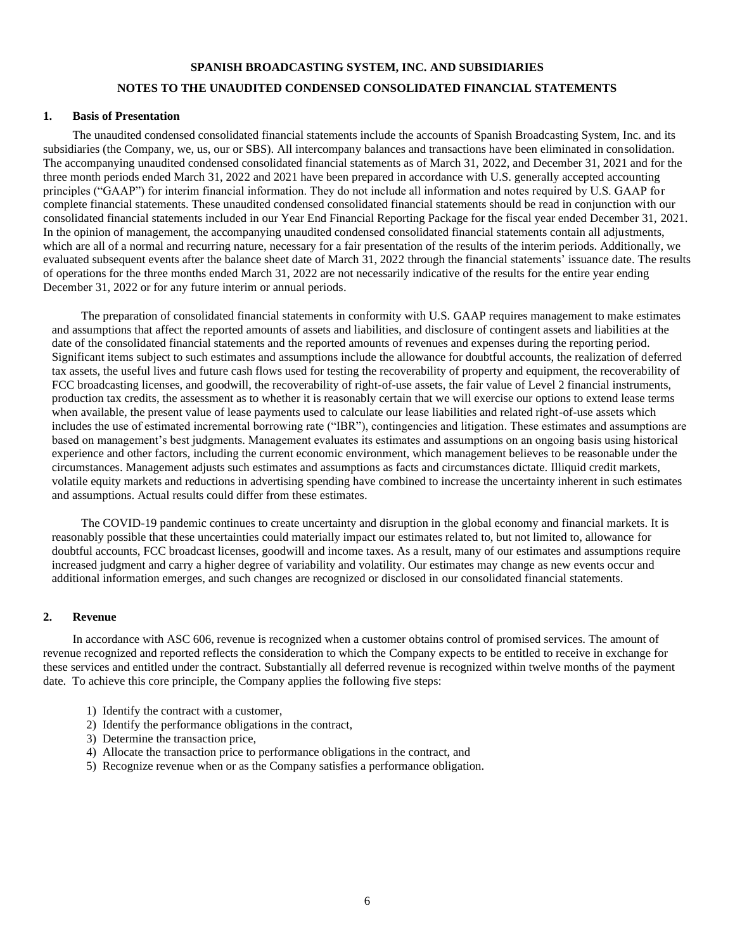# **SPANISH BROADCASTING SYSTEM, INC. AND SUBSIDIARIES**

# **NOTES TO THE UNAUDITED CONDENSED CONSOLIDATED FINANCIAL STATEMENTS**

# <span id="page-5-0"></span>**1. Basis of Presentation**

The unaudited condensed consolidated financial statements include the accounts of Spanish Broadcasting System, Inc. and its subsidiaries (the Company, we, us, our or SBS). All intercompany balances and transactions have been eliminated in consolidation. The accompanying unaudited condensed consolidated financial statements as of March 31, 2022, and December 31, 2021 and for the three month periods ended March 31, 2022 and 2021 have been prepared in accordance with U.S. generally accepted accounting principles ("GAAP") for interim financial information. They do not include all information and notes required by U.S. GAAP for complete financial statements. These unaudited condensed consolidated financial statements should be read in conjunction with our consolidated financial statements included in our Year End Financial Reporting Package for the fiscal year ended December 31, 2021. In the opinion of management, the accompanying unaudited condensed consolidated financial statements contain all adjustments, which are all of a normal and recurring nature, necessary for a fair presentation of the results of the interim periods. Additionally, we evaluated subsequent events after the balance sheet date of March 31, 2022 through the financial statements' issuance date. The results of operations for the three months ended March 31, 2022 are not necessarily indicative of the results for the entire year ending December 31, 2022 or for any future interim or annual periods.

The preparation of consolidated financial statements in conformity with U.S. GAAP requires management to make estimates and assumptions that affect the reported amounts of assets and liabilities, and disclosure of contingent assets and liabilities at the date of the consolidated financial statements and the reported amounts of revenues and expenses during the reporting period. Significant items subject to such estimates and assumptions include the allowance for doubtful accounts, the realization of deferred tax assets, the useful lives and future cash flows used for testing the recoverability of property and equipment, the recoverability of FCC broadcasting licenses, and goodwill, the recoverability of right-of-use assets, the fair value of Level 2 financial instruments, production tax credits, the assessment as to whether it is reasonably certain that we will exercise our options to extend lease terms when available, the present value of lease payments used to calculate our lease liabilities and related right-of-use assets which includes the use of estimated incremental borrowing rate ("IBR"), contingencies and litigation. These estimates and assumptions are based on management's best judgments. Management evaluates its estimates and assumptions on an ongoing basis using historical experience and other factors, including the current economic environment, which management believes to be reasonable under the circumstances. Management adjusts such estimates and assumptions as facts and circumstances dictate. Illiquid credit markets, volatile equity markets and reductions in advertising spending have combined to increase the uncertainty inherent in such estimates and assumptions. Actual results could differ from these estimates.

The COVID-19 pandemic continues to create uncertainty and disruption in the global economy and financial markets. It is reasonably possible that these uncertainties could materially impact our estimates related to, but not limited to, allowance for doubtful accounts, FCC broadcast licenses, goodwill and income taxes. As a result, many of our estimates and assumptions require increased judgment and carry a higher degree of variability and volatility. Our estimates may change as new events occur and additional information emerges, and such changes are recognized or disclosed in our consolidated financial statements.

#### **2. Revenue**

In accordance with ASC 606, revenue is recognized when a customer obtains control of promised services. The amount of revenue recognized and reported reflects the consideration to which the Company expects to be entitled to receive in exchange for these services and entitled under the contract. Substantially all deferred revenue is recognized within twelve months of the payment date. To achieve this core principle, the Company applies the following five steps:

- 1) Identify the contract with a customer,
- 2) Identify the performance obligations in the contract,
- 3) Determine the transaction price,
- 4) Allocate the transaction price to performance obligations in the contract, and
- 5) Recognize revenue when or as the Company satisfies a performance obligation.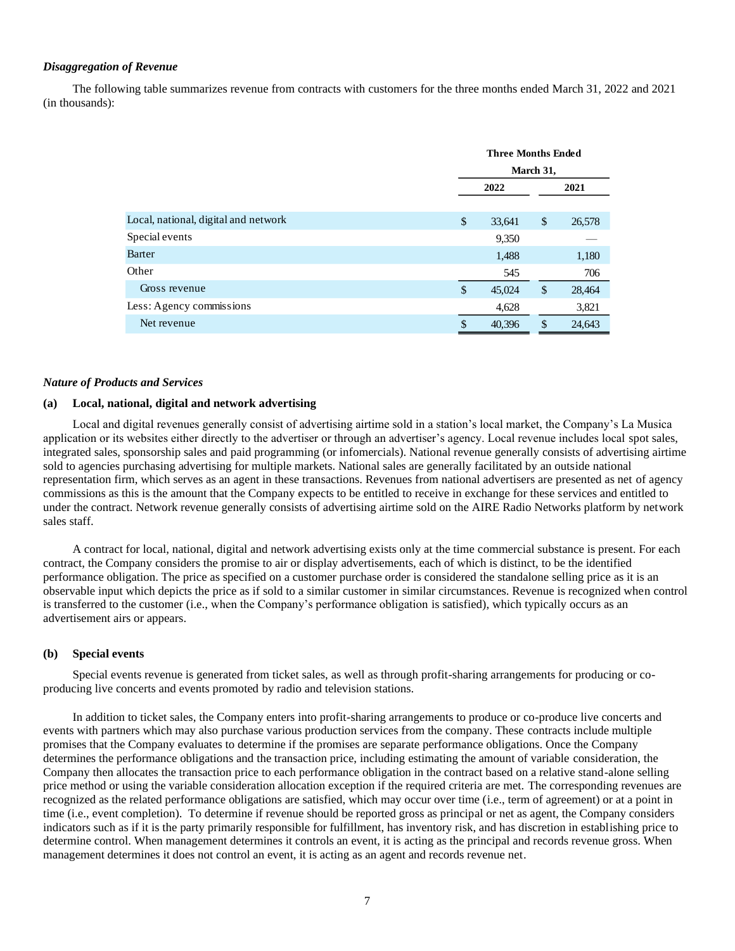#### *Disaggregation of Revenue*

The following table summarizes revenue from contracts with customers for the three months ended March 31, 2022 and 2021 (in thousands):

|                                      | <b>Three Months Ended</b> |        |    |        |  |
|--------------------------------------|---------------------------|--------|----|--------|--|
|                                      | March 31,                 |        |    |        |  |
|                                      | 2022                      |        |    | 2021   |  |
|                                      |                           |        |    |        |  |
| Local, national, digital and network | \$                        | 33,641 | \$ | 26,578 |  |
| Special events                       |                           | 9,350  |    |        |  |
| Barter                               |                           | 1,488  |    | 1,180  |  |
| Other                                |                           | 545    |    | 706    |  |
| Gross revenue                        | \$                        | 45,024 | \$ | 28,464 |  |
| Less: Agency commissions             |                           | 4,628  |    | 3,821  |  |
| Net revenue                          | \$                        | 40,396 | \$ | 24,643 |  |

#### *Nature of Products and Services*

# **(a) Local, national, digital and network advertising**

Local and digital revenues generally consist of advertising airtime sold in a station's local market, the Company's La Musica application or its websites either directly to the advertiser or through an advertiser's agency. Local revenue includes local spot sales, integrated sales, sponsorship sales and paid programming (or infomercials). National revenue generally consists of advertising airtime sold to agencies purchasing advertising for multiple markets. National sales are generally facilitated by an outside national representation firm, which serves as an agent in these transactions. Revenues from national advertisers are presented as net of agency commissions as this is the amount that the Company expects to be entitled to receive in exchange for these services and entitled to under the contract. Network revenue generally consists of advertising airtime sold on the AIRE Radio Networks platform by network sales staff.

A contract for local, national, digital and network advertising exists only at the time commercial substance is present. For each contract, the Company considers the promise to air or display advertisements, each of which is distinct, to be the identified performance obligation. The price as specified on a customer purchase order is considered the standalone selling price as it is an observable input which depicts the price as if sold to a similar customer in similar circumstances. Revenue is recognized when control is transferred to the customer (i.e., when the Company's performance obligation is satisfied), which typically occurs as an advertisement airs or appears.

# **(b) Special events**

Special events revenue is generated from ticket sales, as well as through profit-sharing arrangements for producing or coproducing live concerts and events promoted by radio and television stations.

In addition to ticket sales, the Company enters into profit-sharing arrangements to produce or co-produce live concerts and events with partners which may also purchase various production services from the company. These contracts include multiple promises that the Company evaluates to determine if the promises are separate performance obligations. Once the Company determines the performance obligations and the transaction price, including estimating the amount of variable consideration, the Company then allocates the transaction price to each performance obligation in the contract based on a relative stand-alone selling price method or using the variable consideration allocation exception if the required criteria are met. The corresponding revenues are recognized as the related performance obligations are satisfied, which may occur over time (i.e., term of agreement) or at a point in time (i.e., event completion). To determine if revenue should be reported gross as principal or net as agent, the Company considers indicators such as if it is the party primarily responsible for fulfillment, has inventory risk, and has discretion in establishing price to determine control. When management determines it controls an event, it is acting as the principal and records revenue gross. When management determines it does not control an event, it is acting as an agent and records revenue net.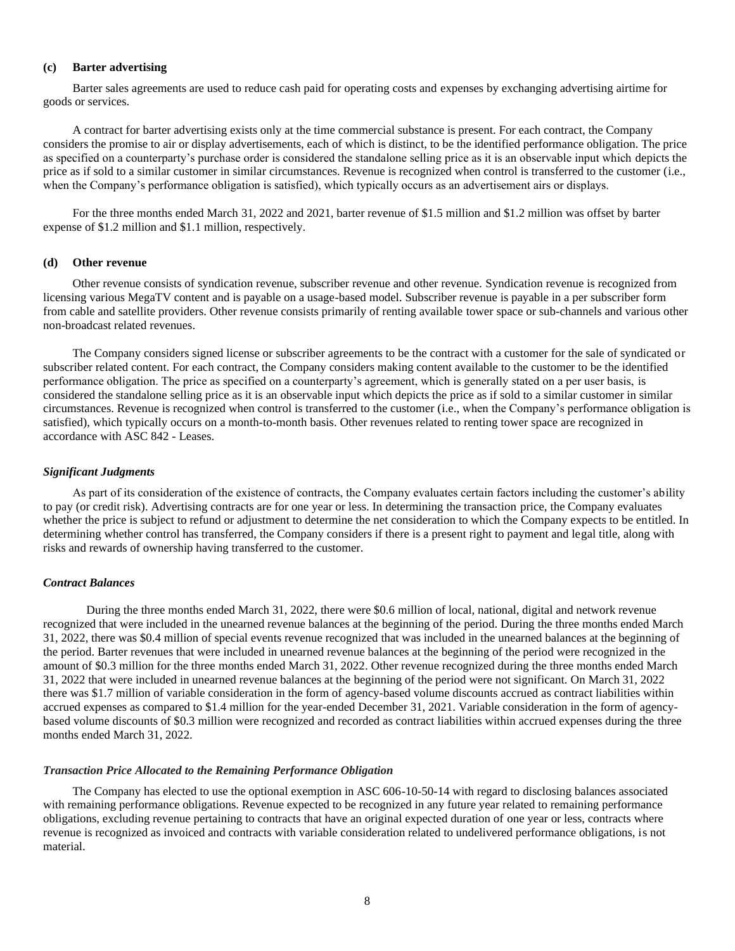# **(c) Barter advertising**

Barter sales agreements are used to reduce cash paid for operating costs and expenses by exchanging advertising airtime for goods or services.

A contract for barter advertising exists only at the time commercial substance is present. For each contract, the Company considers the promise to air or display advertisements, each of which is distinct, to be the identified performance obligation. The price as specified on a counterparty's purchase order is considered the standalone selling price as it is an observable input which depicts the price as if sold to a similar customer in similar circumstances. Revenue is recognized when control is transferred to the customer (i.e., when the Company's performance obligation is satisfied), which typically occurs as an advertisement airs or displays.

For the three months ended March 31, 2022 and 2021, barter revenue of \$1.5 million and \$1.2 million was offset by barter expense of \$1.2 million and \$1.1 million, respectively.

#### **(d) Other revenue**

Other revenue consists of syndication revenue, subscriber revenue and other revenue. Syndication revenue is recognized from licensing various MegaTV content and is payable on a usage-based model. Subscriber revenue is payable in a per subscriber form from cable and satellite providers. Other revenue consists primarily of renting available tower space or sub-channels and various other non-broadcast related revenues.

The Company considers signed license or subscriber agreements to be the contract with a customer for the sale of syndicated or subscriber related content. For each contract, the Company considers making content available to the customer to be the identified performance obligation. The price as specified on a counterparty's agreement, which is generally stated on a per user basis, is considered the standalone selling price as it is an observable input which depicts the price as if sold to a similar customer in similar circumstances. Revenue is recognized when control is transferred to the customer (i.e., when the Company's performance obligation is satisfied), which typically occurs on a month-to-month basis. Other revenues related to renting tower space are recognized in accordance with ASC 842 - Leases.

#### *Significant Judgments*

As part of its consideration of the existence of contracts, the Company evaluates certain factors including the customer's ability to pay (or credit risk). Advertising contracts are for one year or less. In determining the transaction price, the Company evaluates whether the price is subject to refund or adjustment to determine the net consideration to which the Company expects to be entitled. In determining whether control has transferred, the Company considers if there is a present right to payment and legal title, along with risks and rewards of ownership having transferred to the customer.

#### *Contract Balances*

During the three months ended March 31, 2022, there were \$0.6 million of local, national, digital and network revenue recognized that were included in the unearned revenue balances at the beginning of the period. During the three months ended March 31, 2022, there was \$0.4 million of special events revenue recognized that was included in the unearned balances at the beginning of the period. Barter revenues that were included in unearned revenue balances at the beginning of the period were recognized in the amount of \$0.3 million for the three months ended March 31, 2022. Other revenue recognized during the three months ended March 31, 2022 that were included in unearned revenue balances at the beginning of the period were not significant. On March 31, 2022 there was \$1.7 million of variable consideration in the form of agency-based volume discounts accrued as contract liabilities within accrued expenses as compared to \$1.4 million for the year-ended December 31, 2021. Variable consideration in the form of agencybased volume discounts of \$0.3 million were recognized and recorded as contract liabilities within accrued expenses during the three months ended March 31, 2022.

#### *Transaction Price Allocated to the Remaining Performance Obligation*

The Company has elected to use the optional exemption in ASC 606-10-50-14 with regard to disclosing balances associated with remaining performance obligations. Revenue expected to be recognized in any future year related to remaining performance obligations, excluding revenue pertaining to contracts that have an original expected duration of one year or less, contracts where revenue is recognized as invoiced and contracts with variable consideration related to undelivered performance obligations, is not material.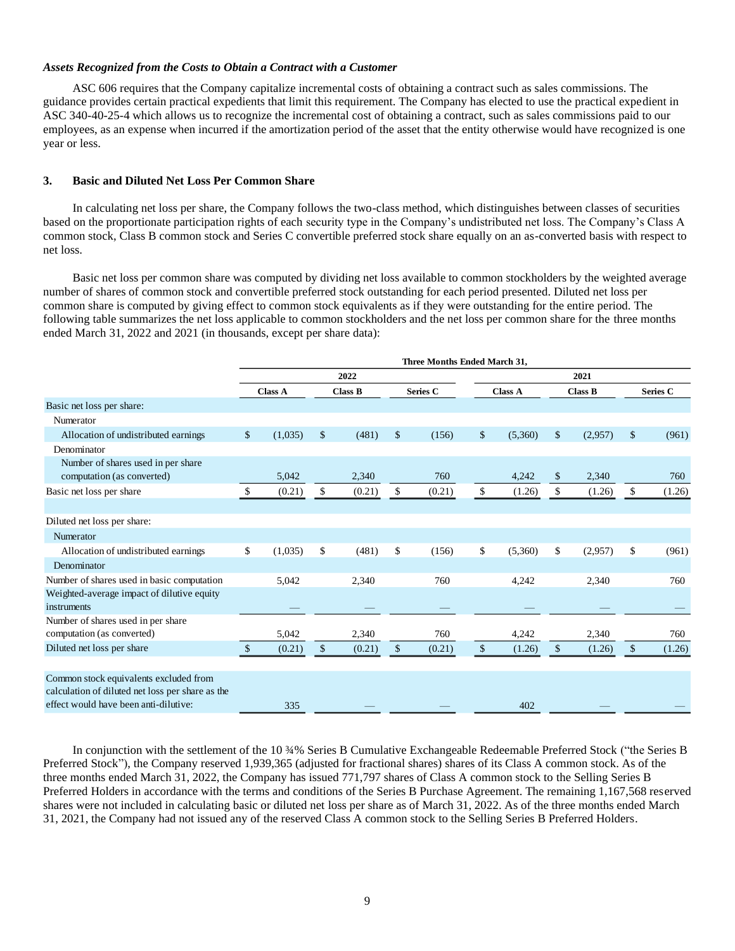## *Assets Recognized from the Costs to Obtain a Contract with a Customer*

ASC 606 requires that the Company capitalize incremental costs of obtaining a contract such as sales commissions. The guidance provides certain practical expedients that limit this requirement. The Company has elected to use the practical expedient in ASC 340-40-25-4 which allows us to recognize the incremental cost of obtaining a contract, such as sales commissions paid to our employees, as an expense when incurred if the amortization period of the asset that the entity otherwise would have recognized is one year or less.

### **3. Basic and Diluted Net Loss Per Common Share**

In calculating net loss per share, the Company follows the two-class method, which distinguishes between classes of securities based on the proportionate participation rights of each security type in the Company's undistributed net loss. The Company's Class A common stock, Class B common stock and Series C convertible preferred stock share equally on an as-converted basis with respect to net loss.

Basic net loss per common share was computed by dividing net loss available to common stockholders by the weighted average number of shares of common stock and convertible preferred stock outstanding for each period presented. Diluted net loss per common share is computed by giving effect to common stock equivalents as if they were outstanding for the entire period. The following table summarizes the net loss applicable to common stockholders and the net loss per common share for the three months ended March 31, 2022 and 2021 (in thousands, except per share data):

|                                                  | Three Months Ended March 31, |                |    |                |              |          |                                  |         |               |         |    |          |
|--------------------------------------------------|------------------------------|----------------|----|----------------|--------------|----------|----------------------------------|---------|---------------|---------|----|----------|
|                                                  |                              |                |    | 2022           |              |          |                                  |         |               | 2021    |    |          |
|                                                  |                              | <b>Class A</b> |    | <b>Class B</b> |              | Series C | <b>Class A</b><br><b>Class B</b> |         |               |         |    | Series C |
| Basic net loss per share:                        |                              |                |    |                |              |          |                                  |         |               |         |    |          |
| Numerator                                        |                              |                |    |                |              |          |                                  |         |               |         |    |          |
| Allocation of undistributed earnings             | \$                           | (1,035)        | \$ | (481)          | \$           | (156)    | \$                               | (5,360) | $\mathbb{S}$  | (2,957) | \$ | (961)    |
| Denominator                                      |                              |                |    |                |              |          |                                  |         |               |         |    |          |
| Number of shares used in per share               |                              |                |    |                |              |          |                                  |         |               |         |    |          |
| computation (as converted)                       |                              | 5,042          |    | 2,340          |              | 760      |                                  | 4,242   | <sup>\$</sup> | 2,340   |    | 760      |
| Basic net loss per share                         | \$.                          | (0.21)         | \$ | (0.21)         | \$           | (0.21)   | $\mathbb{S}$                     | (1.26)  | $\mathbb{S}$  | (1.26)  | \$ | (1.26)   |
|                                                  |                              |                |    |                |              |          |                                  |         |               |         |    |          |
| Diluted net loss per share:                      |                              |                |    |                |              |          |                                  |         |               |         |    |          |
| Numerator                                        |                              |                |    |                |              |          |                                  |         |               |         |    |          |
| Allocation of undistributed earnings             | \$                           | (1,035)        | \$ | (481)          | \$           | (156)    | \$                               | (5,360) | \$            | (2,957) | \$ | (961)    |
| Denominator                                      |                              |                |    |                |              |          |                                  |         |               |         |    |          |
| Number of shares used in basic computation       |                              | 5,042          |    | 2,340          |              | 760      |                                  | 4,242   |               | 2,340   |    | 760      |
| Weighted-average impact of dilutive equity       |                              |                |    |                |              |          |                                  |         |               |         |    |          |
| instruments                                      |                              |                |    |                |              |          |                                  |         |               |         |    |          |
| Number of shares used in per share               |                              |                |    |                |              |          |                                  |         |               |         |    |          |
| computation (as converted)                       |                              | 5,042          |    | 2,340          |              | 760      |                                  | 4,242   |               | 2,340   |    | 760      |
| Diluted net loss per share                       | $\mathbb{S}$                 | (0.21)         | \$ | (0.21)         | $\mathbb{S}$ | (0.21)   | $\mathcal{S}$                    | (1.26)  | $\mathcal{S}$ | (1.26)  | \$ | (1.26)   |
|                                                  |                              |                |    |                |              |          |                                  |         |               |         |    |          |
| Common stock equivalents excluded from           |                              |                |    |                |              |          |                                  |         |               |         |    |          |
| calculation of diluted net loss per share as the |                              |                |    |                |              |          |                                  |         |               |         |    |          |
| effect would have been anti-dilutive:            |                              | 335            |    |                |              |          |                                  | 402     |               |         |    |          |

In conjunction with the settlement of the 10 ¾% Series B Cumulative Exchangeable Redeemable Preferred Stock ("the Series B Preferred Stock"), the Company reserved 1,939,365 (adjusted for fractional shares) shares of its Class A common stock. As of the three months ended March 31, 2022, the Company has issued 771,797 shares of Class A common stock to the Selling Series B Preferred Holders in accordance with the terms and conditions of the Series B Purchase Agreement. The remaining 1,167,568 reserved shares were not included in calculating basic or diluted net loss per share as of March 31, 2022. As of the three months ended March 31, 2021, the Company had not issued any of the reserved Class A common stock to the Selling Series B Preferred Holders.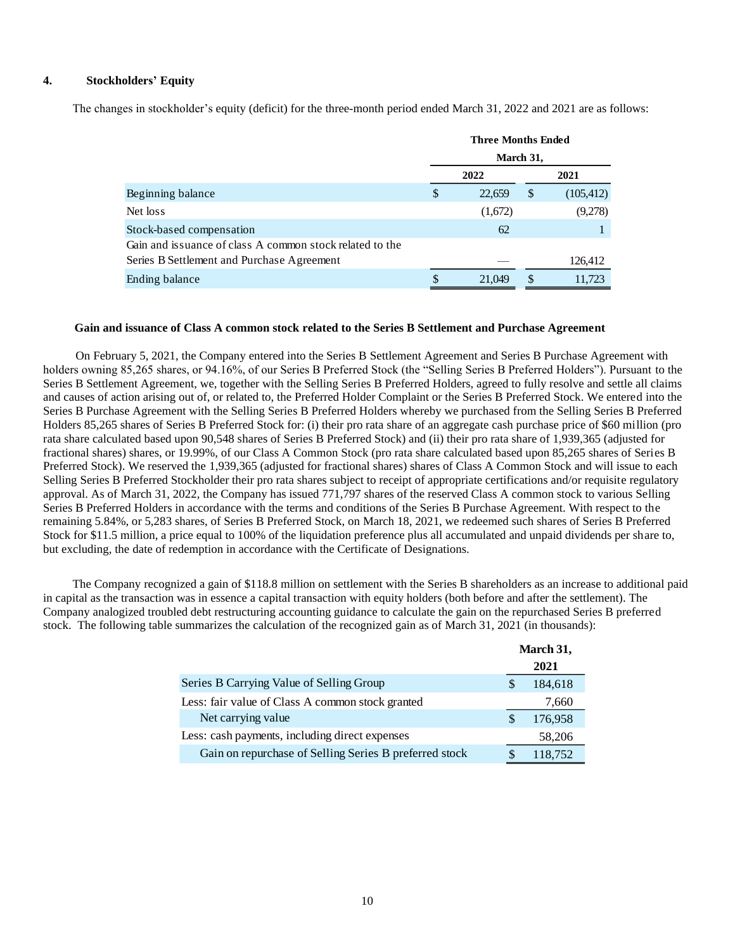# **4. Stockholders' Equity**

The changes in stockholder's equity (deficit) for the three-month period ended March 31, 2022 and 2021 are as follows:

|                                                          |    | <b>Three Months Ended</b> |                           |            |  |
|----------------------------------------------------------|----|---------------------------|---------------------------|------------|--|
|                                                          |    | March 31,                 |                           |            |  |
|                                                          |    | 2022                      |                           | 2021       |  |
| Beginning balance                                        | \$ | 22,659                    | $\boldsymbol{\mathsf{S}}$ | (105, 412) |  |
| Net loss                                                 |    | (1,672)                   |                           | (9,278)    |  |
| Stock-based compensation                                 |    | 62                        |                           |            |  |
| Gain and issuance of class A common stock related to the |    |                           |                           |            |  |
| Series B Settlement and Purchase Agreement               |    |                           |                           | 126,412    |  |
| Ending balance                                           | \$ | 21,049                    | \$                        | 11.723     |  |

#### **Gain and issuance of Class A common stock related to the Series B Settlement and Purchase Agreement**

On February 5, 2021, the Company entered into the Series B Settlement Agreement and Series B Purchase Agreement with holders owning 85,265 shares, or 94.16%, of our Series B Preferred Stock (the "Selling Series B Preferred Holders"). Pursuant to the Series B Settlement Agreement, we, together with the Selling Series B Preferred Holders, agreed to fully resolve and settle all claims and causes of action arising out of, or related to, the Preferred Holder Complaint or the Series B Preferred Stock. We entered into the Series B Purchase Agreement with the Selling Series B Preferred Holders whereby we purchased from the Selling Series B Preferred Holders 85,265 shares of Series B Preferred Stock for: (i) their pro rata share of an aggregate cash purchase price of \$60 million (pro rata share calculated based upon 90,548 shares of Series B Preferred Stock) and (ii) their pro rata share of 1,939,365 (adjusted for fractional shares) shares, or 19.99%, of our Class A Common Stock (pro rata share calculated based upon 85,265 shares of Series B Preferred Stock). We reserved the 1,939,365 (adjusted for fractional shares) shares of Class A Common Stock and will issue to each Selling Series B Preferred Stockholder their pro rata shares subject to receipt of appropriate certifications and/or requisite regulatory approval. As of March 31, 2022, the Company has issued 771,797 shares of the reserved Class A common stock to various Selling Series B Preferred Holders in accordance with the terms and conditions of the Series B Purchase Agreement. With respect to the remaining 5.84%, or 5,283 shares, of Series B Preferred Stock, on March 18, 2021, we redeemed such shares of Series B Preferred Stock for \$11.5 million, a price equal to 100% of the liquidation preference plus all accumulated and unpaid dividends per share to, but excluding, the date of redemption in accordance with the Certificate of Designations.

The Company recognized a gain of \$118.8 million on settlement with the Series B shareholders as an increase to additional paid in capital as the transaction was in essence a capital transaction with equity holders (both before and after the settlement). The Company analogized troubled debt restructuring accounting guidance to calculate the gain on the repurchased Series B preferred stock. The following table summarizes the calculation of the recognized gain as of March 31, 2021 (in thousands):

|                                                        | March 31, |
|--------------------------------------------------------|-----------|
|                                                        | 2021      |
| Series B Carrying Value of Selling Group               | 184,618   |
| Less: fair value of Class A common stock granted       | 7,660     |
| Net carrying value                                     | 176,958   |
| Less: cash payments, including direct expenses         | 58,206    |
| Gain on repurchase of Selling Series B preferred stock | 118,752   |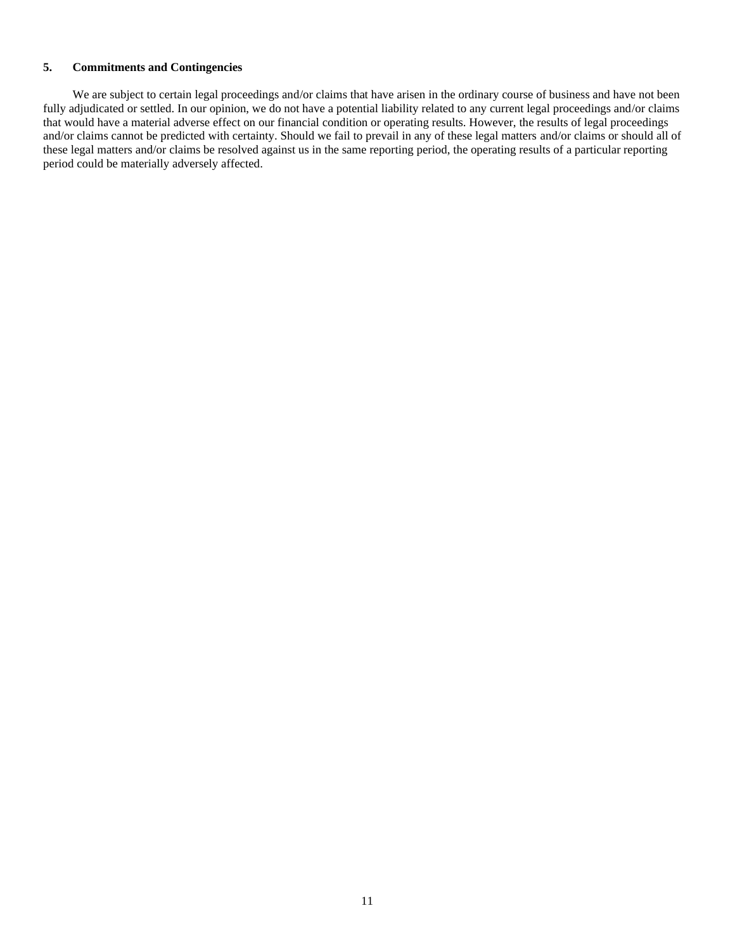# **5. Commitments and Contingencies**

We are subject to certain legal proceedings and/or claims that have arisen in the ordinary course of business and have not been fully adjudicated or settled. In our opinion, we do not have a potential liability related to any current legal proceedings and/or claims that would have a material adverse effect on our financial condition or operating results. However, the results of legal proceedings and/or claims cannot be predicted with certainty. Should we fail to prevail in any of these legal matters and/or claims or should all of these legal matters and/or claims be resolved against us in the same reporting period, the operating results of a particular reporting period could be materially adversely affected.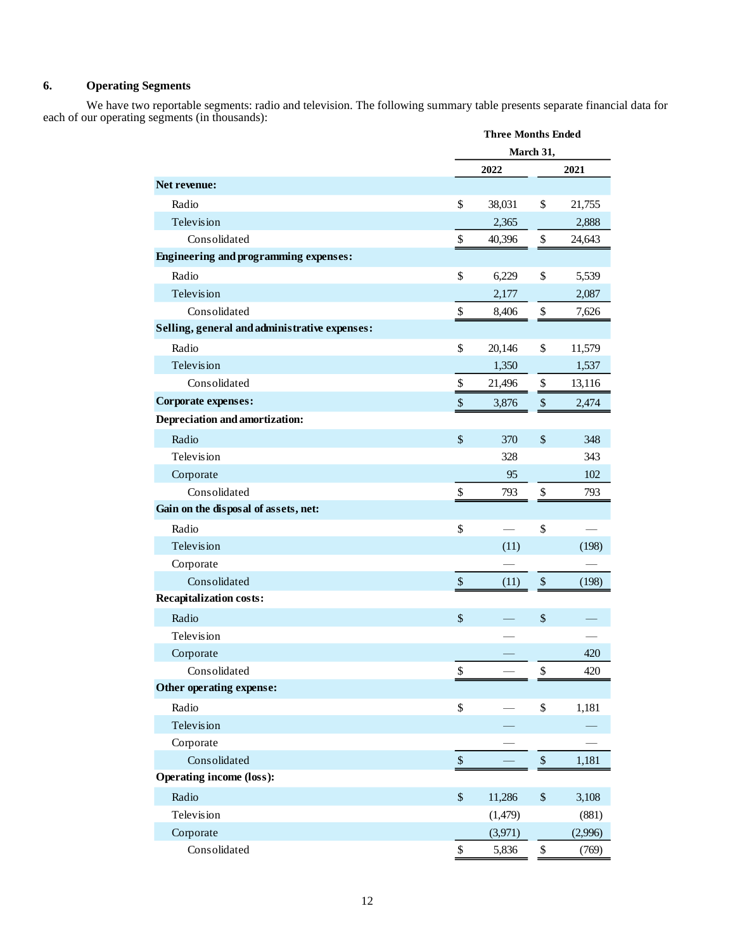# **6. Operating Segments**

We have two reportable segments: radio and television. The following summary table presents separate financial data for each of our operating segments (in thousands):

| March 31,<br>2022<br>2021<br>Net revenue:<br>Radio<br>\$<br>\$<br>38,031<br>21,755<br>Television<br>2,365<br>2,888<br>Consolidated<br>\$<br>\$<br>24,643<br>40,396<br><b>Engineering and programming expenses:</b><br>Radio<br>\$<br>\$<br>6,229<br>5,539<br>Television<br>2,177<br>2,087<br>Consolidated<br>\$<br>\$<br>8,406<br>7,626<br>Selling, general and administrative expenses:<br>Radio<br>\$<br>\$<br>20,146<br>11,579<br>Television<br>1,350<br>1,537<br>Consolidated<br>\$<br>\$<br>21,496<br>13,116<br>Corporate expenses:<br>$\boldsymbol{\$}$<br>$\$\,$<br>3,876<br>2,474<br>Depreciation and amortization:<br>\$<br>Radio<br>\$<br>370<br>348<br>Television<br>328<br>343<br>95<br>102<br>Corporate<br>Consolidated<br>\$<br>793<br>\$<br>793<br>Gain on the disposal of assets, net:<br>\$<br>Radio<br>\$ |            | <b>Three Months Ended</b> |      |  |       |
|-----------------------------------------------------------------------------------------------------------------------------------------------------------------------------------------------------------------------------------------------------------------------------------------------------------------------------------------------------------------------------------------------------------------------------------------------------------------------------------------------------------------------------------------------------------------------------------------------------------------------------------------------------------------------------------------------------------------------------------------------------------------------------------------------------------------------------|------------|---------------------------|------|--|-------|
|                                                                                                                                                                                                                                                                                                                                                                                                                                                                                                                                                                                                                                                                                                                                                                                                                             |            |                           |      |  |       |
|                                                                                                                                                                                                                                                                                                                                                                                                                                                                                                                                                                                                                                                                                                                                                                                                                             |            |                           |      |  |       |
|                                                                                                                                                                                                                                                                                                                                                                                                                                                                                                                                                                                                                                                                                                                                                                                                                             |            |                           |      |  |       |
|                                                                                                                                                                                                                                                                                                                                                                                                                                                                                                                                                                                                                                                                                                                                                                                                                             |            |                           |      |  |       |
|                                                                                                                                                                                                                                                                                                                                                                                                                                                                                                                                                                                                                                                                                                                                                                                                                             |            |                           |      |  |       |
|                                                                                                                                                                                                                                                                                                                                                                                                                                                                                                                                                                                                                                                                                                                                                                                                                             |            |                           |      |  |       |
|                                                                                                                                                                                                                                                                                                                                                                                                                                                                                                                                                                                                                                                                                                                                                                                                                             |            |                           |      |  |       |
|                                                                                                                                                                                                                                                                                                                                                                                                                                                                                                                                                                                                                                                                                                                                                                                                                             |            |                           |      |  |       |
|                                                                                                                                                                                                                                                                                                                                                                                                                                                                                                                                                                                                                                                                                                                                                                                                                             |            |                           |      |  |       |
|                                                                                                                                                                                                                                                                                                                                                                                                                                                                                                                                                                                                                                                                                                                                                                                                                             |            |                           |      |  |       |
|                                                                                                                                                                                                                                                                                                                                                                                                                                                                                                                                                                                                                                                                                                                                                                                                                             |            |                           |      |  |       |
|                                                                                                                                                                                                                                                                                                                                                                                                                                                                                                                                                                                                                                                                                                                                                                                                                             |            |                           |      |  |       |
|                                                                                                                                                                                                                                                                                                                                                                                                                                                                                                                                                                                                                                                                                                                                                                                                                             |            |                           |      |  |       |
|                                                                                                                                                                                                                                                                                                                                                                                                                                                                                                                                                                                                                                                                                                                                                                                                                             |            |                           |      |  |       |
|                                                                                                                                                                                                                                                                                                                                                                                                                                                                                                                                                                                                                                                                                                                                                                                                                             |            |                           |      |  |       |
|                                                                                                                                                                                                                                                                                                                                                                                                                                                                                                                                                                                                                                                                                                                                                                                                                             |            |                           |      |  |       |
|                                                                                                                                                                                                                                                                                                                                                                                                                                                                                                                                                                                                                                                                                                                                                                                                                             |            |                           |      |  |       |
|                                                                                                                                                                                                                                                                                                                                                                                                                                                                                                                                                                                                                                                                                                                                                                                                                             |            |                           |      |  |       |
|                                                                                                                                                                                                                                                                                                                                                                                                                                                                                                                                                                                                                                                                                                                                                                                                                             |            |                           |      |  |       |
|                                                                                                                                                                                                                                                                                                                                                                                                                                                                                                                                                                                                                                                                                                                                                                                                                             |            |                           |      |  |       |
|                                                                                                                                                                                                                                                                                                                                                                                                                                                                                                                                                                                                                                                                                                                                                                                                                             |            |                           |      |  |       |
|                                                                                                                                                                                                                                                                                                                                                                                                                                                                                                                                                                                                                                                                                                                                                                                                                             |            |                           |      |  |       |
|                                                                                                                                                                                                                                                                                                                                                                                                                                                                                                                                                                                                                                                                                                                                                                                                                             | Television |                           | (11) |  | (198) |
| Corporate                                                                                                                                                                                                                                                                                                                                                                                                                                                                                                                                                                                                                                                                                                                                                                                                                   |            |                           |      |  |       |
| Consolidated<br>\$<br>\$<br>(198)<br>(11)                                                                                                                                                                                                                                                                                                                                                                                                                                                                                                                                                                                                                                                                                                                                                                                   |            |                           |      |  |       |
| <b>Recapitalization costs:</b>                                                                                                                                                                                                                                                                                                                                                                                                                                                                                                                                                                                                                                                                                                                                                                                              |            |                           |      |  |       |
| \$<br>Radio<br>\$                                                                                                                                                                                                                                                                                                                                                                                                                                                                                                                                                                                                                                                                                                                                                                                                           |            |                           |      |  |       |
| Television                                                                                                                                                                                                                                                                                                                                                                                                                                                                                                                                                                                                                                                                                                                                                                                                                  |            |                           |      |  |       |
| 420<br>Corporate                                                                                                                                                                                                                                                                                                                                                                                                                                                                                                                                                                                                                                                                                                                                                                                                            |            |                           |      |  |       |
| \$<br>\$<br>Consolidated<br>420                                                                                                                                                                                                                                                                                                                                                                                                                                                                                                                                                                                                                                                                                                                                                                                             |            |                           |      |  |       |
| Other operating expense:                                                                                                                                                                                                                                                                                                                                                                                                                                                                                                                                                                                                                                                                                                                                                                                                    |            |                           |      |  |       |
| \$<br>Radio<br>\$<br>1,181                                                                                                                                                                                                                                                                                                                                                                                                                                                                                                                                                                                                                                                                                                                                                                                                  |            |                           |      |  |       |
| Television                                                                                                                                                                                                                                                                                                                                                                                                                                                                                                                                                                                                                                                                                                                                                                                                                  |            |                           |      |  |       |
| Corporate                                                                                                                                                                                                                                                                                                                                                                                                                                                                                                                                                                                                                                                                                                                                                                                                                   |            |                           |      |  |       |
| Consolidated<br>$\boldsymbol{\$}$<br>$\mathbb{S}$<br>1,181                                                                                                                                                                                                                                                                                                                                                                                                                                                                                                                                                                                                                                                                                                                                                                  |            |                           |      |  |       |
| <b>Operating income (loss):</b>                                                                                                                                                                                                                                                                                                                                                                                                                                                                                                                                                                                                                                                                                                                                                                                             |            |                           |      |  |       |
| \$<br>Radio<br>$\$\,$<br>11,286<br>3,108                                                                                                                                                                                                                                                                                                                                                                                                                                                                                                                                                                                                                                                                                                                                                                                    |            |                           |      |  |       |
| Television<br>(1,479)<br>(881)                                                                                                                                                                                                                                                                                                                                                                                                                                                                                                                                                                                                                                                                                                                                                                                              |            |                           |      |  |       |
| Corporate<br>(3,971)<br>(2,996)                                                                                                                                                                                                                                                                                                                                                                                                                                                                                                                                                                                                                                                                                                                                                                                             |            |                           |      |  |       |
| Consolidated<br>\$<br>\$<br>5,836<br>(769)                                                                                                                                                                                                                                                                                                                                                                                                                                                                                                                                                                                                                                                                                                                                                                                  |            |                           |      |  |       |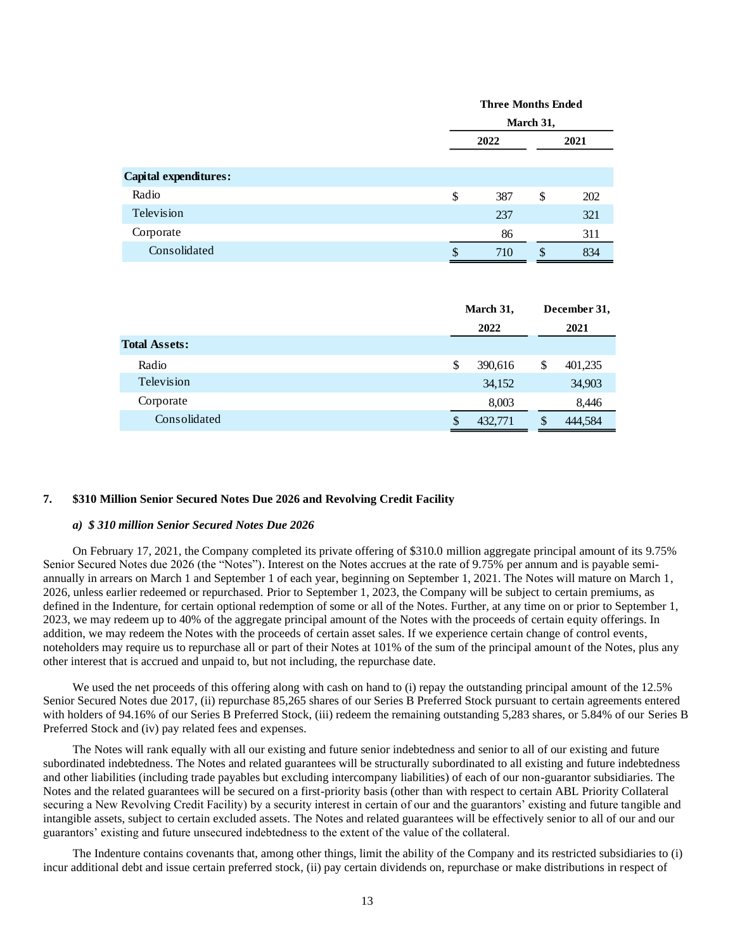|                       | <b>Three Months Ended</b> |    |      |  |  |
|-----------------------|---------------------------|----|------|--|--|
|                       | March 31,                 |    |      |  |  |
|                       | 2022                      |    | 2021 |  |  |
|                       |                           |    |      |  |  |
| Capital expenditures: |                           |    |      |  |  |
| Radio                 | \$<br>387                 | \$ | 202  |  |  |
| Television            | 237                       |    | 321  |  |  |
| Corporate             | 86                        |    | 311  |  |  |
| Consolidated          | \$<br>710                 | \$ | 834  |  |  |

|                      | March 31,    | December 31,  |
|----------------------|--------------|---------------|
|                      | 2022         | 2021          |
| <b>Total Assets:</b> |              |               |
| Radio                | S<br>390,616 | 401,235<br>\$ |
| Television           | 34,152       | 34,903        |
| Corporate            | 8,003        | 8,446         |
| Consolidated         | 432,771      | 444,584<br>S  |

#### **7. \$310 Million Senior Secured Notes Due 2026 and Revolving Credit Facility**

#### *a) \$ 310 million Senior Secured Notes Due 2026*

On February 17, 2021, the Company completed its private offering of \$310.0 million aggregate principal amount of its 9.75% Senior Secured Notes due 2026 (the "Notes"). Interest on the Notes accrues at the rate of 9.75% per annum and is payable semiannually in arrears on March 1 and September 1 of each year, beginning on September 1, 2021. The Notes will mature on March 1, 2026, unless earlier redeemed or repurchased. Prior to September 1, 2023, the Company will be subject to certain premiums, as defined in the Indenture, for certain optional redemption of some or all of the Notes. Further, at any time on or prior to September 1, 2023, we may redeem up to 40% of the aggregate principal amount of the Notes with the proceeds of certain equity offerings. In addition, we may redeem the Notes with the proceeds of certain asset sales. If we experience certain change of control events, noteholders may require us to repurchase all or part of their Notes at 101% of the sum of the principal amount of the Notes, plus any other interest that is accrued and unpaid to, but not including, the repurchase date.

We used the net proceeds of this offering along with cash on hand to (i) repay the outstanding principal amount of the 12.5% Senior Secured Notes due 2017, (ii) repurchase 85,265 shares of our Series B Preferred Stock pursuant to certain agreements entered with holders of 94.16% of our Series B Preferred Stock, (iii) redeem the remaining outstanding 5,283 shares, or 5.84% of our Series B Preferred Stock and (iv) pay related fees and expenses.

The Notes will rank equally with all our existing and future senior indebtedness and senior to all of our existing and future subordinated indebtedness. The Notes and related guarantees will be structurally subordinated to all existing and future indebtedness and other liabilities (including trade payables but excluding intercompany liabilities) of each of our non-guarantor subsidiaries. The Notes and the related guarantees will be secured on a first-priority basis (other than with respect to certain ABL Priority Collateral securing a New Revolving Credit Facility) by a security interest in certain of our and the guarantors' existing and future tangible and intangible assets, subject to certain excluded assets. The Notes and related guarantees will be effectively senior to all of our and our guarantors' existing and future unsecured indebtedness to the extent of the value of the collateral.

The Indenture contains covenants that, among other things, limit the ability of the Company and its restricted subsidiaries to (i) incur additional debt and issue certain preferred stock, (ii) pay certain dividends on, repurchase or make distributions in respect of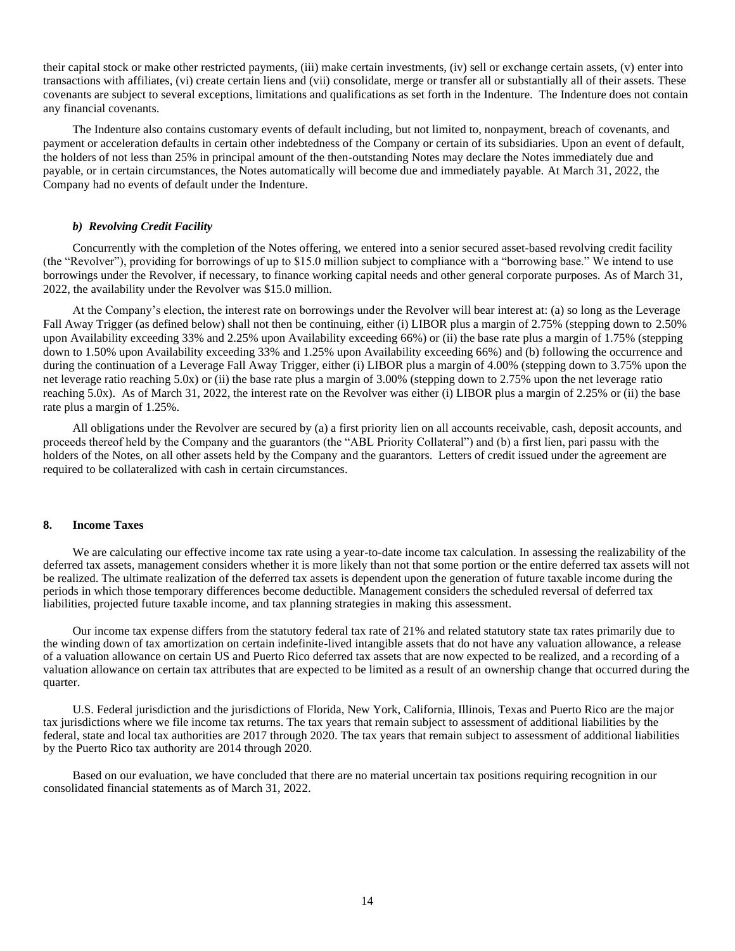their capital stock or make other restricted payments, (iii) make certain investments, (iv) sell or exchange certain assets, (v) enter into transactions with affiliates, (vi) create certain liens and (vii) consolidate, merge or transfer all or substantially all of their assets. These covenants are subject to several exceptions, limitations and qualifications as set forth in the Indenture. The Indenture does not contain any financial covenants.

The Indenture also contains customary events of default including, but not limited to, nonpayment, breach of covenants, and payment or acceleration defaults in certain other indebtedness of the Company or certain of its subsidiaries. Upon an event of default, the holders of not less than 25% in principal amount of the then-outstanding Notes may declare the Notes immediately due and payable, or in certain circumstances, the Notes automatically will become due and immediately payable. At March 31, 2022, the Company had no events of default under the Indenture.

#### *b) Revolving Credit Facility*

Concurrently with the completion of the Notes offering, we entered into a senior secured asset-based revolving credit facility (the "Revolver"), providing for borrowings of up to \$15.0 million subject to compliance with a "borrowing base." We intend to use borrowings under the Revolver, if necessary, to finance working capital needs and other general corporate purposes. As of March 31, 2022, the availability under the Revolver was \$15.0 million.

At the Company's election, the interest rate on borrowings under the Revolver will bear interest at: (a) so long as the Leverage Fall Away Trigger (as defined below) shall not then be continuing, either (i) LIBOR plus a margin of 2.75% (stepping down to 2.50% upon Availability exceeding 33% and 2.25% upon Availability exceeding 66%) or (ii) the base rate plus a margin of 1.75% (stepping down to 1.50% upon Availability exceeding 33% and 1.25% upon Availability exceeding 66%) and (b) following the occurrence and during the continuation of a Leverage Fall Away Trigger, either (i) LIBOR plus a margin of 4.00% (stepping down to 3.75% upon the net leverage ratio reaching 5.0x) or (ii) the base rate plus a margin of 3.00% (stepping down to 2.75% upon the net leverage ratio reaching 5.0x). As of March 31, 2022, the interest rate on the Revolver was either (i) LIBOR plus a margin of 2.25% or (ii) the base rate plus a margin of 1.25%.

All obligations under the Revolver are secured by (a) a first priority lien on all accounts receivable, cash, deposit accounts, and proceeds thereof held by the Company and the guarantors (the "ABL Priority Collateral") and (b) a first lien, pari passu with the holders of the Notes, on all other assets held by the Company and the guarantors. Letters of credit issued under the agreement are required to be collateralized with cash in certain circumstances.

#### **8. Income Taxes**

We are calculating our effective income tax rate using a year-to-date income tax calculation. In assessing the realizability of the deferred tax assets, management considers whether it is more likely than not that some portion or the entire deferred tax assets will not be realized. The ultimate realization of the deferred tax assets is dependent upon the generation of future taxable income during the periods in which those temporary differences become deductible. Management considers the scheduled reversal of deferred tax liabilities, projected future taxable income, and tax planning strategies in making this assessment.

Our income tax expense differs from the statutory federal tax rate of 21% and related statutory state tax rates primarily due to the winding down of tax amortization on certain indefinite-lived intangible assets that do not have any valuation allowance, a release of a valuation allowance on certain US and Puerto Rico deferred tax assets that are now expected to be realized, and a recording of a valuation allowance on certain tax attributes that are expected to be limited as a result of an ownership change that occurred during the quarter.

U.S. Federal jurisdiction and the jurisdictions of Florida, New York, California, Illinois, Texas and Puerto Rico are the major tax jurisdictions where we file income tax returns. The tax years that remain subject to assessment of additional liabilities by the federal, state and local tax authorities are 2017 through 2020. The tax years that remain subject to assessment of additional liabilities by the Puerto Rico tax authority are 2014 through 2020.

Based on our evaluation, we have concluded that there are no material uncertain tax positions requiring recognition in our consolidated financial statements as of March 31, 2022.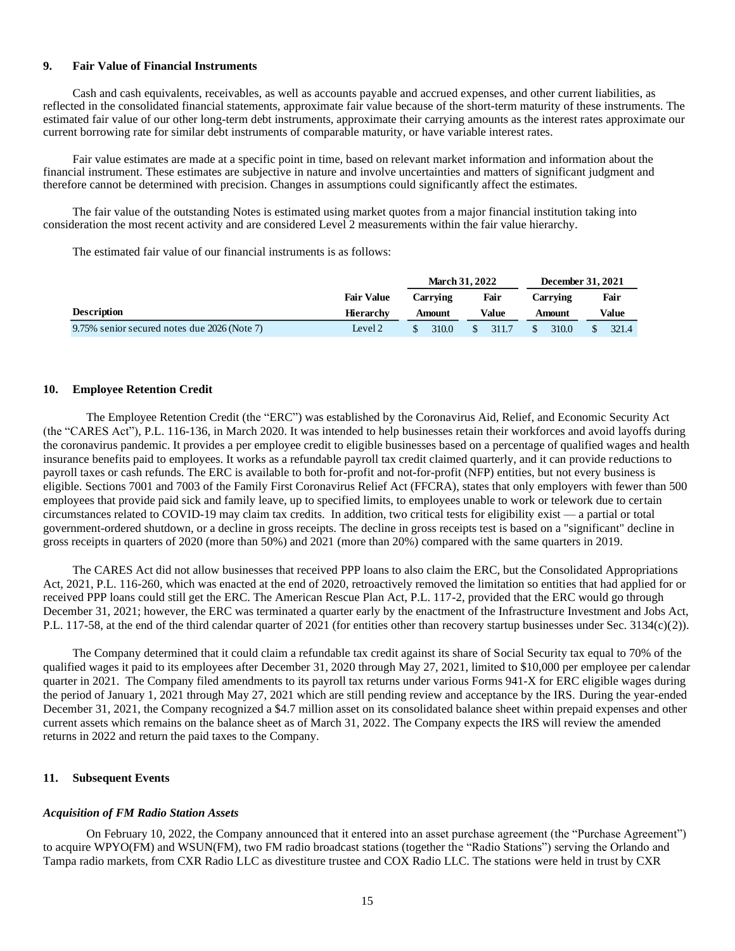#### **9. Fair Value of Financial Instruments**

Cash and cash equivalents, receivables, as well as accounts payable and accrued expenses, and other current liabilities, as reflected in the consolidated financial statements, approximate fair value because of the short-term maturity of these instruments. The estimated fair value of our other long-term debt instruments, approximate their carrying amounts as the interest rates approximate our current borrowing rate for similar debt instruments of comparable maturity, or have variable interest rates.

Fair value estimates are made at a specific point in time, based on relevant market information and information about the financial instrument. These estimates are subjective in nature and involve uncertainties and matters of significant judgment and therefore cannot be determined with precision. Changes in assumptions could significantly affect the estimates.

The fair value of the outstanding Notes is estimated using market quotes from a major financial institution taking into consideration the most recent activity and are considered Level 2 measurements within the fair value hierarchy.

The estimated fair value of our financial instruments is as follows:

|                                              |                   |                 | <b>March 31, 2022</b> | December 31, 2021 |       |
|----------------------------------------------|-------------------|-----------------|-----------------------|-------------------|-------|
|                                              | <b>Fair Value</b> | Carrving        | Fair                  | Carrving          | Fair  |
| <b>Description</b>                           | <b>Hierarchy</b>  | Value<br>Amount |                       | Amount            | Value |
| 9.75% senior secured notes due 2026 (Note 7) | Level 2           | 310.0           | 311.7                 | 310.0             | 321.4 |

#### **10. Employee Retention Credit**

The Employee Retention Credit (the "ERC") was established by the Coronavirus Aid, Relief, and Economic Security Act (the "CARES Act"), P.L. 116-136, in March 2020. It was intended to help businesses retain their workforces and avoid layoffs during the coronavirus pandemic. It provides a per employee credit to eligible businesses based on a percentage of qualified wages and health insurance benefits paid to employees. It works as a refundable payroll tax credit claimed quarterly, and it can provide reductions to payroll taxes or cash refunds. The ERC is available to both for-profit and not-for-profit (NFP) entities, but not every business is eligible. Sections 7001 and 7003 of the Family First Coronavirus Relief Act (FFCRA), states that only employers with fewer than 500 employees that provide paid sick and family leave, up to specified limits, to employees unable to work or telework due to certain circumstances related to COVID-19 may claim tax credits. In addition, two critical tests for eligibility exist — a partial or total government-ordered shutdown, or a decline in gross receipts. The decline in gross receipts test is based on a "significant" decline in gross receipts in quarters of 2020 (more than 50%) and 2021 (more than 20%) compared with the same quarters in 2019.

The CARES Act did not allow businesses that received PPP loans to also claim the ERC, but the Consolidated Appropriations Act, 2021, P.L. 116-260, which was enacted at the end of 2020, retroactively removed the limitation so entities that had applied for or received PPP loans could still get the ERC. The American Rescue Plan Act, P.L. 117-2, provided that the ERC would go through December 31, 2021; however, the ERC was terminated a quarter early by the enactment of the Infrastructure Investment and Jobs Act, P.L. 117-58, at the end of the third calendar quarter of 2021 (for entities other than recovery startup businesses under Sec. 3134(c)(2)).

The Company determined that it could claim a refundable tax credit against its share of Social Security tax equal to 70% of the qualified wages it paid to its employees after December 31, 2020 through May 27, 2021, limited to \$10,000 per employee per calendar quarter in 2021. The Company filed amendments to its payroll tax returns under various Forms 941-X for ERC eligible wages during the period of January 1, 2021 through May 27, 2021 which are still pending review and acceptance by the IRS. During the year-ended December 31, 2021, the Company recognized a \$4.7 million asset on its consolidated balance sheet within prepaid expenses and other current assets which remains on the balance sheet as of March 31, 2022. The Company expects the IRS will review the amended returns in 2022 and return the paid taxes to the Company.

#### **11. Subsequent Events**

#### *Acquisition of FM Radio Station Assets*

On February 10, 2022, the Company announced that it entered into an asset purchase agreement (the "Purchase Agreement") to acquire WPYO(FM) and WSUN(FM), two FM radio broadcast stations (together the "Radio Stations") serving the Orlando and Tampa radio markets, from CXR Radio LLC as divestiture trustee and COX Radio LLC. The stations were held in trust by CXR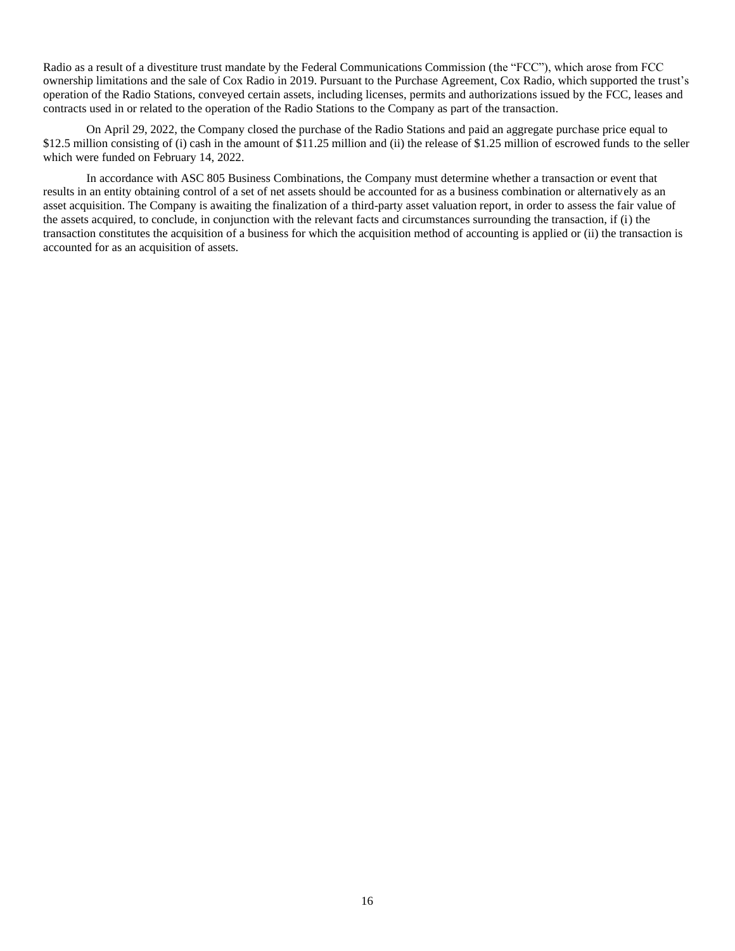Radio as a result of a divestiture trust mandate by the Federal Communications Commission (the "FCC"), which arose from FCC ownership limitations and the sale of Cox Radio in 2019. Pursuant to the Purchase Agreement, Cox Radio, which supported the trust's operation of the Radio Stations, conveyed certain assets, including licenses, permits and authorizations issued by the FCC, leases and contracts used in or related to the operation of the Radio Stations to the Company as part of the transaction.

On April 29, 2022, the Company closed the purchase of the Radio Stations and paid an aggregate purchase price equal to \$12.5 million consisting of (i) cash in the amount of \$11.25 million and (ii) the release of \$1.25 million of escrowed funds to the seller which were funded on February 14, 2022.

In accordance with ASC 805 Business Combinations, the Company must determine whether a transaction or event that results in an entity obtaining control of a set of net assets should be accounted for as a business combination or alternatively as an asset acquisition. The Company is awaiting the finalization of a third-party asset valuation report, in order to assess the fair value of the assets acquired, to conclude, in conjunction with the relevant facts and circumstances surrounding the transaction, if (i) the transaction constitutes the acquisition of a business for which the acquisition method of accounting is applied or (ii) the transaction is accounted for as an acquisition of assets.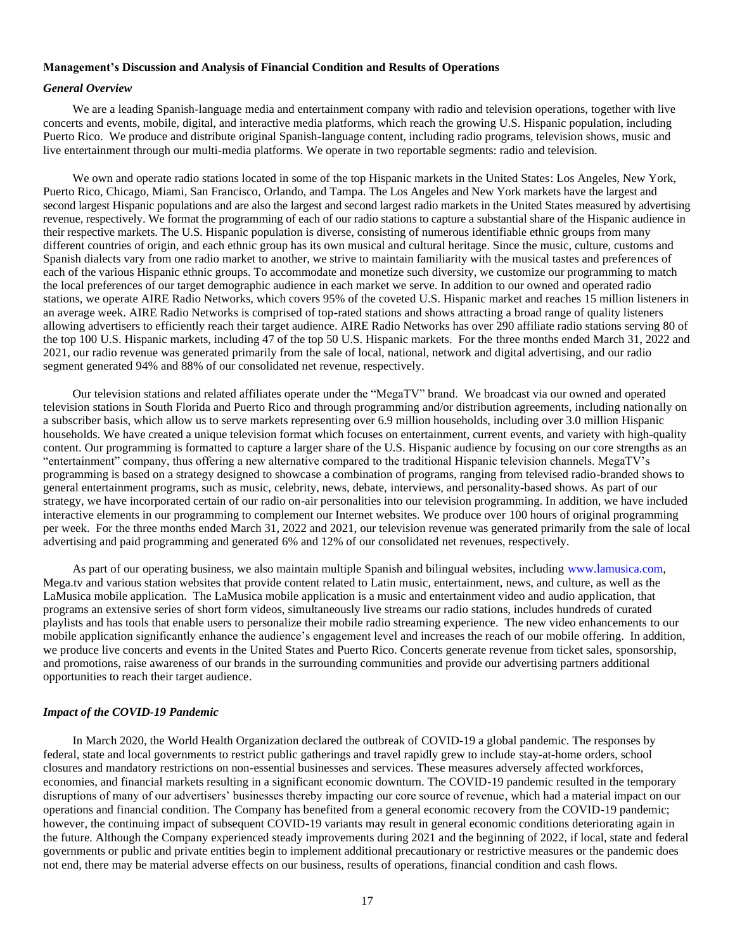# <span id="page-16-0"></span>**Management's Discussion and Analysis of Financial Condition and Results of Operations**

#### *General Overview*

We are a leading Spanish-language media and entertainment company with radio and television operations, together with live concerts and events, mobile, digital, and interactive media platforms, which reach the growing U.S. Hispanic population, including Puerto Rico. We produce and distribute original Spanish-language content, including radio programs, television shows, music and live entertainment through our multi-media platforms. We operate in two reportable segments: radio and television.

We own and operate radio stations located in some of the top Hispanic markets in the United States: Los Angeles, New York, Puerto Rico, Chicago, Miami, San Francisco, Orlando, and Tampa. The Los Angeles and New York markets have the largest and second largest Hispanic populations and are also the largest and second largest radio markets in the United States measured by advertising revenue, respectively. We format the programming of each of our radio stations to capture a substantial share of the Hispanic audience in their respective markets. The U.S. Hispanic population is diverse, consisting of numerous identifiable ethnic groups from many different countries of origin, and each ethnic group has its own musical and cultural heritage. Since the music, culture, customs and Spanish dialects vary from one radio market to another, we strive to maintain familiarity with the musical tastes and preferences of each of the various Hispanic ethnic groups. To accommodate and monetize such diversity, we customize our programming to match the local preferences of our target demographic audience in each market we serve. In addition to our owned and operated radio stations, we operate AIRE Radio Networks, which covers 95% of the coveted U.S. Hispanic market and reaches 15 million listeners in an average week. AIRE Radio Networks is comprised of top-rated stations and shows attracting a broad range of quality listeners allowing advertisers to efficiently reach their target audience. AIRE Radio Networks has over 290 affiliate radio stations serving 80 of the top 100 U.S. Hispanic markets, including 47 of the top 50 U.S. Hispanic markets. For the three months ended March 31, 2022 and 2021, our radio revenue was generated primarily from the sale of local, national, network and digital advertising, and our radio segment generated 94% and 88% of our consolidated net revenue, respectively.

Our television stations and related affiliates operate under the "MegaTV" brand. We broadcast via our owned and operated television stations in South Florida and Puerto Rico and through programming and/or distribution agreements, including nationally on a subscriber basis, which allow us to serve markets representing over 6.9 million households, including over 3.0 million Hispanic households. We have created a unique television format which focuses on entertainment, current events, and variety with high-quality content. Our programming is formatted to capture a larger share of the U.S. Hispanic audience by focusing on our core strengths as an "entertainment" company, thus offering a new alternative compared to the traditional Hispanic television channels. MegaTV's programming is based on a strategy designed to showcase a combination of programs, ranging from televised radio-branded shows to general entertainment programs, such as music, celebrity, news, debate, interviews, and personality-based shows. As part of our strategy, we have incorporated certain of our radio on-air personalities into our television programming. In addition, we have included interactive elements in our programming to complement our Internet websites. We produce over 100 hours of original programming per week. For the three months ended March 31, 2022 and 2021, our television revenue was generated primarily from the sale of local advertising and paid programming and generated 6% and 12% of our consolidated net revenues, respectively.

As part of our operating business, we also maintain multiple Spanish and bilingual websites, including [www.lamusica.com,](http://www.lamusica.com/)  Mega.tv and various station websites that provide content related to Latin music, entertainment, news, and culture, as well as the LaMusica mobile application. The LaMusica mobile application is a music and entertainment video and audio application, that programs an extensive series of short form videos, simultaneously live streams our radio stations, includes hundreds of curated playlists and has tools that enable users to personalize their mobile radio streaming experience. The new video enhancements to our mobile application significantly enhance the audience's engagement level and increases the reach of our mobile offering. In addition, we produce live concerts and events in the United States and Puerto Rico. Concerts generate revenue from ticket sales, sponsorship, and promotions, raise awareness of our brands in the surrounding communities and provide our advertising partners additional opportunities to reach their target audience.

### *Impact of the COVID-19 Pandemic*

In March 2020, the World Health Organization declared the outbreak of COVID-19 a global pandemic. The responses by federal, state and local governments to restrict public gatherings and travel rapidly grew to include stay-at-home orders, school closures and mandatory restrictions on non-essential businesses and services. These measures adversely affected workforces, economies, and financial markets resulting in a significant economic downturn. The COVID-19 pandemic resulted in the temporary disruptions of many of our advertisers' businesses thereby impacting our core source of revenue, which had a material impact on our operations and financial condition. The Company has benefited from a general economic recovery from the COVID-19 pandemic; however, the continuing impact of subsequent COVID-19 variants may result in general economic conditions deteriorating again in the future. Although the Company experienced steady improvements during 2021 and the beginning of 2022, if local, state and federal governments or public and private entities begin to implement additional precautionary or restrictive measures or the pandemic does not end, there may be material adverse effects on our business, results of operations, financial condition and cash flows.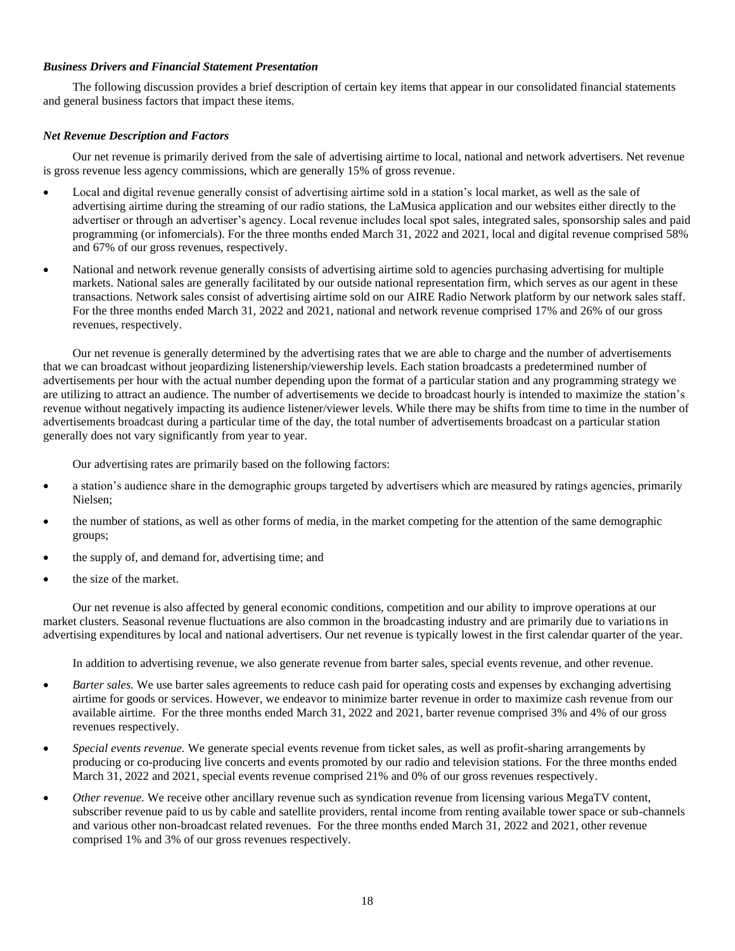# *Business Drivers and Financial Statement Presentation*

The following discussion provides a brief description of certain key items that appear in our consolidated financial statements and general business factors that impact these items.

# *Net Revenue Description and Factors*

Our net revenue is primarily derived from the sale of advertising airtime to local, national and network advertisers. Net revenue is gross revenue less agency commissions, which are generally 15% of gross revenue.

- Local and digital revenue generally consist of advertising airtime sold in a station's local market, as well as the sale of advertising airtime during the streaming of our radio stations, the LaMusica application and our websites either directly to the advertiser or through an advertiser's agency. Local revenue includes local spot sales, integrated sales, sponsorship sales and paid programming (or infomercials). For the three months ended March 31, 2022 and 2021, local and digital revenue comprised 58% and 67% of our gross revenues, respectively.
- National and network revenue generally consists of advertising airtime sold to agencies purchasing advertising for multiple markets. National sales are generally facilitated by our outside national representation firm, which serves as our agent in these transactions. Network sales consist of advertising airtime sold on our AIRE Radio Network platform by our network sales staff. For the three months ended March 31, 2022 and 2021, national and network revenue comprised 17% and 26% of our gross revenues, respectively.

Our net revenue is generally determined by the advertising rates that we are able to charge and the number of advertisements that we can broadcast without jeopardizing listenership/viewership levels. Each station broadcasts a predetermined number of advertisements per hour with the actual number depending upon the format of a particular station and any programming strategy we are utilizing to attract an audience. The number of advertisements we decide to broadcast hourly is intended to maximize the station's revenue without negatively impacting its audience listener/viewer levels. While there may be shifts from time to time in the number of advertisements broadcast during a particular time of the day, the total number of advertisements broadcast on a particular station generally does not vary significantly from year to year.

Our advertising rates are primarily based on the following factors:

- a station's audience share in the demographic groups targeted by advertisers which are measured by ratings agencies, primarily Nielsen;
- the number of stations, as well as other forms of media, in the market competing for the attention of the same demographic groups;
- the supply of, and demand for, advertising time; and
- the size of the market.

Our net revenue is also affected by general economic conditions, competition and our ability to improve operations at our market clusters. Seasonal revenue fluctuations are also common in the broadcasting industry and are primarily due to variations in advertising expenditures by local and national advertisers. Our net revenue is typically lowest in the first calendar quarter of the year.

In addition to advertising revenue, we also generate revenue from barter sales, special events revenue, and other revenue.

- *Barter sales.* We use barter sales agreements to reduce cash paid for operating costs and expenses by exchanging advertising airtime for goods or services. However, we endeavor to minimize barter revenue in order to maximize cash revenue from our available airtime. For the three months ended March 31, 2022 and 2021, barter revenue comprised 3% and 4% of our gross revenues respectively.
- *Special events revenue.* We generate special events revenue from ticket sales, as well as profit-sharing arrangements by producing or co-producing live concerts and events promoted by our radio and television stations. For the three months ended March 31, 2022 and 2021, special events revenue comprised 21% and 0% of our gross revenues respectively.
- *Other revenue.* We receive other ancillary revenue such as syndication revenue from licensing various MegaTV content, subscriber revenue paid to us by cable and satellite providers, rental income from renting available tower space or sub-channels and various other non-broadcast related revenues. For the three months ended March 31, 2022 and 2021, other revenue comprised 1% and 3% of our gross revenues respectively.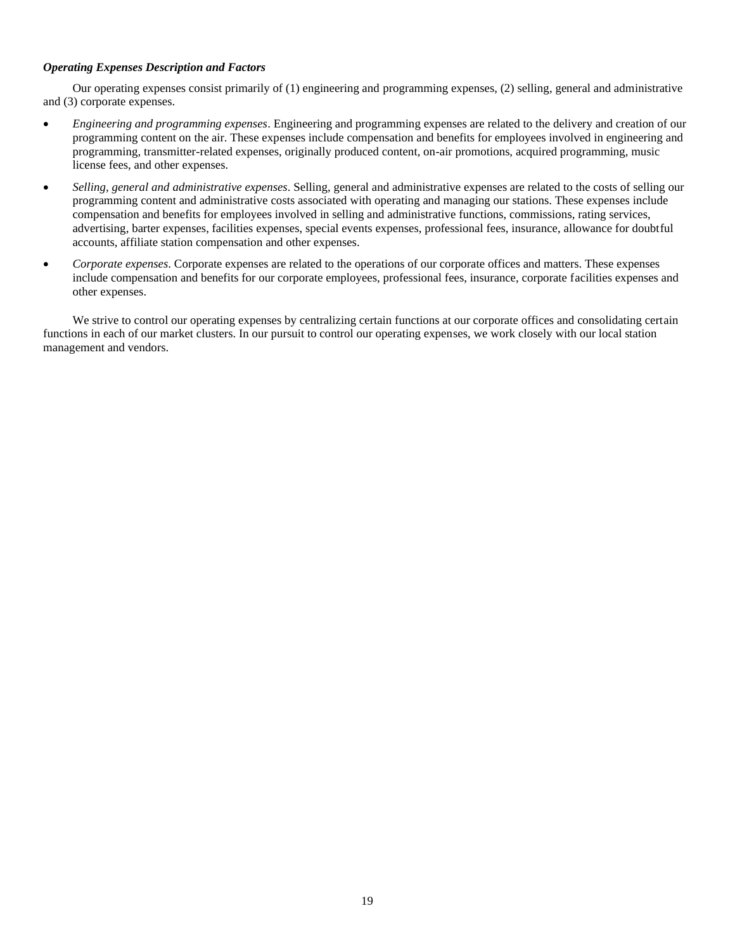# *Operating Expenses Description and Factors*

Our operating expenses consist primarily of (1) engineering and programming expenses, (2) selling, general and administrative and (3) corporate expenses.

- *Engineering and programming expenses*. Engineering and programming expenses are related to the delivery and creation of our programming content on the air. These expenses include compensation and benefits for employees involved in engineering and programming, transmitter-related expenses, originally produced content, on-air promotions, acquired programming, music license fees, and other expenses.
- *Selling, general and administrative expenses*. Selling, general and administrative expenses are related to the costs of selling our programming content and administrative costs associated with operating and managing our stations. These expenses include compensation and benefits for employees involved in selling and administrative functions, commissions, rating services, advertising, barter expenses, facilities expenses, special events expenses, professional fees, insurance, allowance for doubtful accounts, affiliate station compensation and other expenses.
- *Corporate expenses*. Corporate expenses are related to the operations of our corporate offices and matters. These expenses include compensation and benefits for our corporate employees, professional fees, insurance, corporate facilities expenses and other expenses.

We strive to control our operating expenses by centralizing certain functions at our corporate offices and consolidating certain functions in each of our market clusters. In our pursuit to control our operating expenses, we work closely with our local station management and vendors.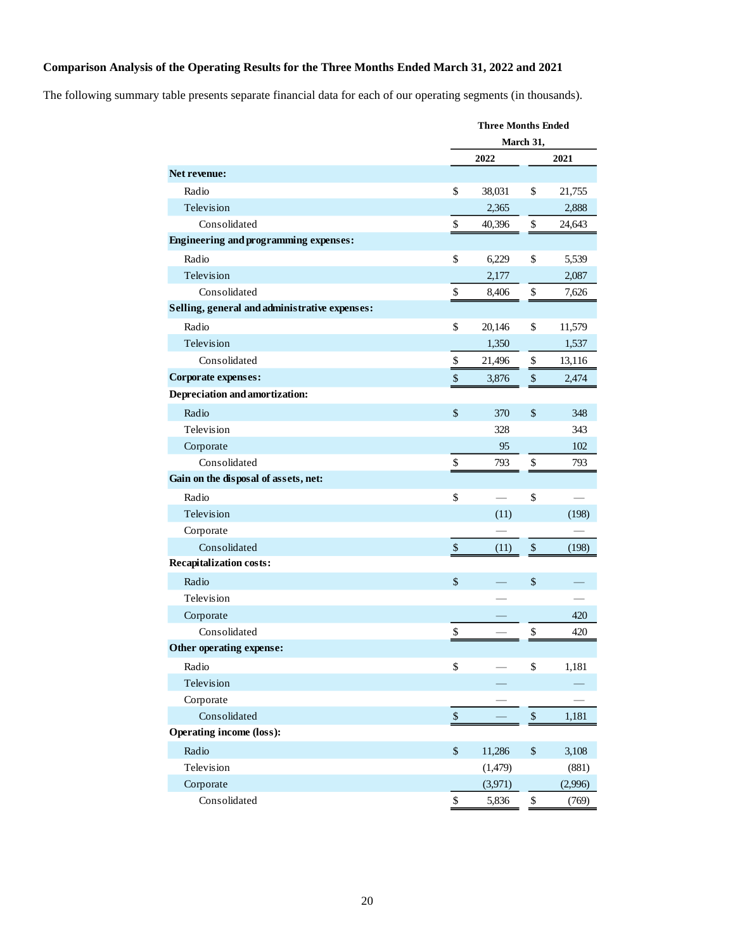# **Comparison Analysis of the Operating Results for the Three Months Ended March 31, 2022 and 2021**

The following summary table presents separate financial data for each of our operating segments (in thousands).

|                                               | <b>Three Months Ended</b> |          |             |         |
|-----------------------------------------------|---------------------------|----------|-------------|---------|
|                                               |                           |          | March 31,   |         |
|                                               |                           | 2022     |             | 2021    |
| <b>Net revenue:</b>                           |                           |          |             |         |
| Radio                                         | \$                        | 38,031   | \$          | 21,755  |
| Television                                    |                           | 2,365    |             | 2,888   |
| Consolidated                                  | \$                        | 40,396   | \$          | 24,643  |
| <b>Engineering and programming expenses:</b>  |                           |          |             |         |
| Radio                                         | \$                        | 6,229    | \$          | 5,539   |
| Television                                    |                           | 2,177    |             | 2,087   |
| Consolidated                                  | \$                        | 8,406    | \$          | 7,626   |
| Selling, general and administrative expenses: |                           |          |             |         |
| Radio                                         | \$                        | 20,146   | \$          | 11,579  |
| Television                                    |                           | 1,350    |             | 1,537   |
| Consolidated                                  | \$                        | 21,496   | \$          | 13,116  |
| Corporate expenses:                           | $\mathbb{S}$              | 3,876    | \$          | 2,474   |
| Depreciation and amortization:                |                           |          |             |         |
| Radio                                         | \$                        | 370      | \$          | 348     |
| Television                                    |                           | 328      |             | 343     |
| Corporate                                     |                           | 95       |             | 102     |
| Consolidated                                  | \$                        | 793      | \$          | 793     |
| Gain on the disposal of assets, net:          |                           |          |             |         |
| Radio                                         | \$                        |          | \$          |         |
| Television                                    |                           | (11)     |             | (198)   |
| Corporate                                     |                           |          |             |         |
| Consolidated                                  | $\mathbb{S}$              | (11)     | $\$$        | (198)   |
| Recapitalization costs:                       |                           |          |             |         |
| Radio                                         | \$                        |          | \$          |         |
| Television                                    |                           |          |             |         |
| Corporate                                     |                           |          |             | 420     |
| Consolidated                                  | \$                        |          | \$          | 420     |
| Other operating expense:                      |                           |          |             |         |
| Radio                                         | \$                        |          | \$          | 1,181   |
| Television                                    |                           |          |             |         |
| Corporate                                     |                           |          |             |         |
| Consolidated                                  | $\mathbb{S}$              |          | $\,$        | 1,181   |
| <b>Operating income (loss):</b>               |                           |          |             |         |
| Radio                                         | \$                        | 11,286   | $\mathbb S$ | 3,108   |
| Television                                    |                           | (1, 479) |             | (881)   |
| Corporate                                     |                           | (3,971)  |             | (2,996) |
| Consolidated                                  | $\mathbb{S}$              | 5,836    | \$          | (769)   |
|                                               |                           |          |             |         |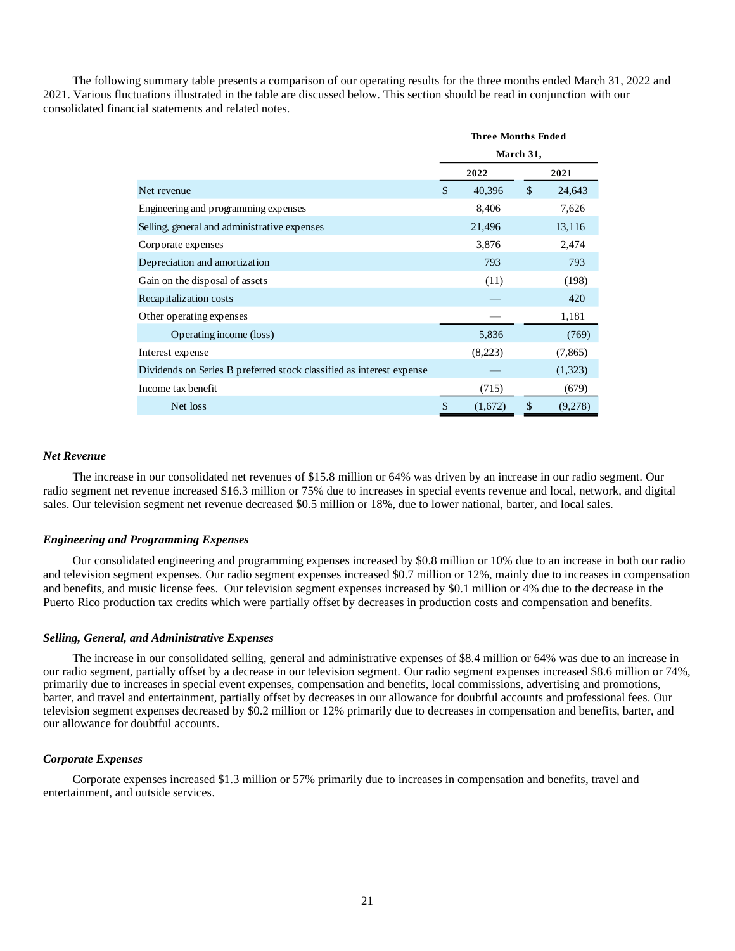The following summary table presents a comparison of our operating results for the three months ended March 31, 2022 and 2021. Various fluctuations illustrated in the table are discussed below. This section should be read in conjunction with our consolidated financial statements and related notes.

|                                                                      | <b>Three Months Ended</b><br>March 31, |         |              |          |
|----------------------------------------------------------------------|----------------------------------------|---------|--------------|----------|
|                                                                      |                                        |         |              |          |
|                                                                      |                                        | 2022    |              | 2021     |
| Net revenue                                                          | $\mathcal{S}$                          | 40,396  | $\mathbb{S}$ | 24,643   |
| Engineering and programming expenses                                 |                                        | 8,406   |              | 7,626    |
| Selling, general and administrative expenses                         |                                        | 21,496  |              | 13,116   |
| Corporate expenses                                                   |                                        | 3,876   |              | 2,474    |
| Depreciation and amortization                                        |                                        | 793     |              | 793      |
| Gain on the disposal of assets                                       |                                        | (11)    |              | (198)    |
| Recapitalization costs                                               |                                        |         |              | 420      |
| Other operating expenses                                             |                                        |         |              | 1,181    |
| Operating income (loss)                                              |                                        | 5,836   |              | (769)    |
| Interest expense                                                     |                                        | (8,223) |              | (7, 865) |
| Dividends on Series B preferred stock classified as interest expense |                                        |         |              | (1,323)  |
| Income tax benefit                                                   |                                        | (715)   |              | (679)    |
| Net loss                                                             | \$                                     | (1,672) | \$           | (9,278)  |

### *Net Revenue*

The increase in our consolidated net revenues of \$15.8 million or 64% was driven by an increase in our radio segment. Our radio segment net revenue increased \$16.3 million or 75% due to increases in special events revenue and local, network, and digital sales. Our television segment net revenue decreased \$0.5 million or 18%, due to lower national, barter, and local sales.

#### *Engineering and Programming Expenses*

Our consolidated engineering and programming expenses increased by \$0.8 million or 10% due to an increase in both our radio and television segment expenses. Our radio segment expenses increased \$0.7 million or 12%, mainly due to increases in compensation and benefits, and music license fees. Our television segment expenses increased by \$0.1 million or 4% due to the decrease in the Puerto Rico production tax credits which were partially offset by decreases in production costs and compensation and benefits.

#### *Selling, General, and Administrative Expenses*

The increase in our consolidated selling, general and administrative expenses of \$8.4 million or 64% was due to an increase in our radio segment, partially offset by a decrease in our television segment. Our radio segment expenses increased \$8.6 million or 74%, primarily due to increases in special event expenses, compensation and benefits, local commissions, advertising and promotions, barter, and travel and entertainment, partially offset by decreases in our allowance for doubtful accounts and professional fees. Our television segment expenses decreased by \$0.2 million or 12% primarily due to decreases in compensation and benefits, barter, and our allowance for doubtful accounts.

#### *Corporate Expenses*

Corporate expenses increased \$1.3 million or 57% primarily due to increases in compensation and benefits, travel and entertainment, and outside services.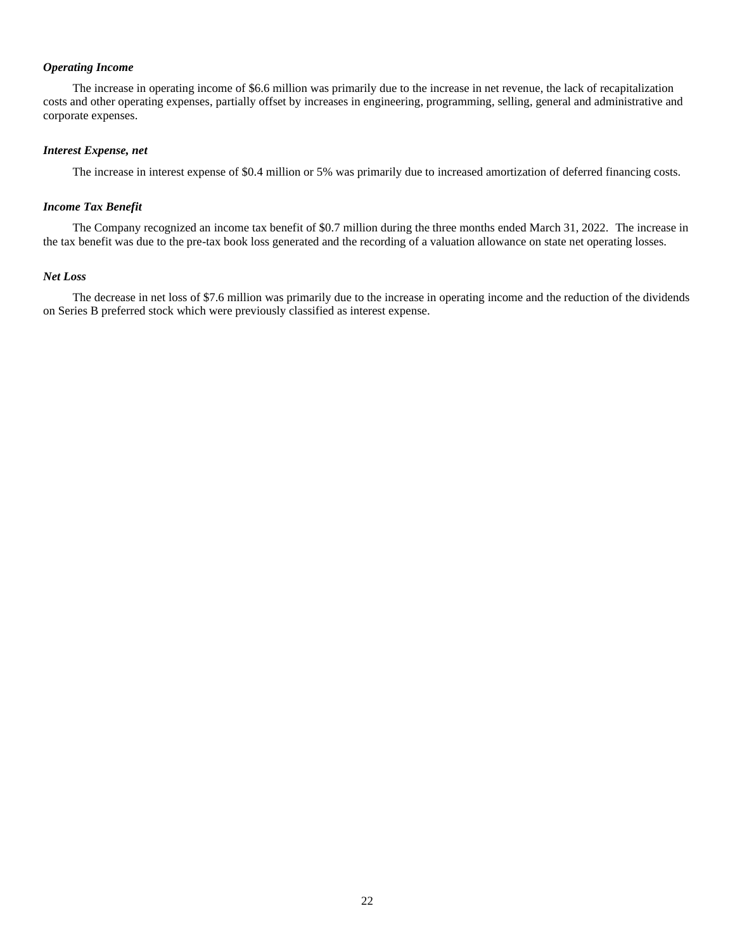# *Operating Income*

The increase in operating income of \$6.6 million was primarily due to the increase in net revenue, the lack of recapitalization costs and other operating expenses, partially offset by increases in engineering, programming, selling, general and administrative and corporate expenses.

# *Interest Expense, net*

The increase in interest expense of \$0.4 million or 5% was primarily due to increased amortization of deferred financing costs.

# *Income Tax Benefit*

The Company recognized an income tax benefit of \$0.7 million during the three months ended March 31, 2022. The increase in the tax benefit was due to the pre-tax book loss generated and the recording of a valuation allowance on state net operating losses.

# *Net Loss*

The decrease in net loss of \$7.6 million was primarily due to the increase in operating income and the reduction of the dividends on Series B preferred stock which were previously classified as interest expense.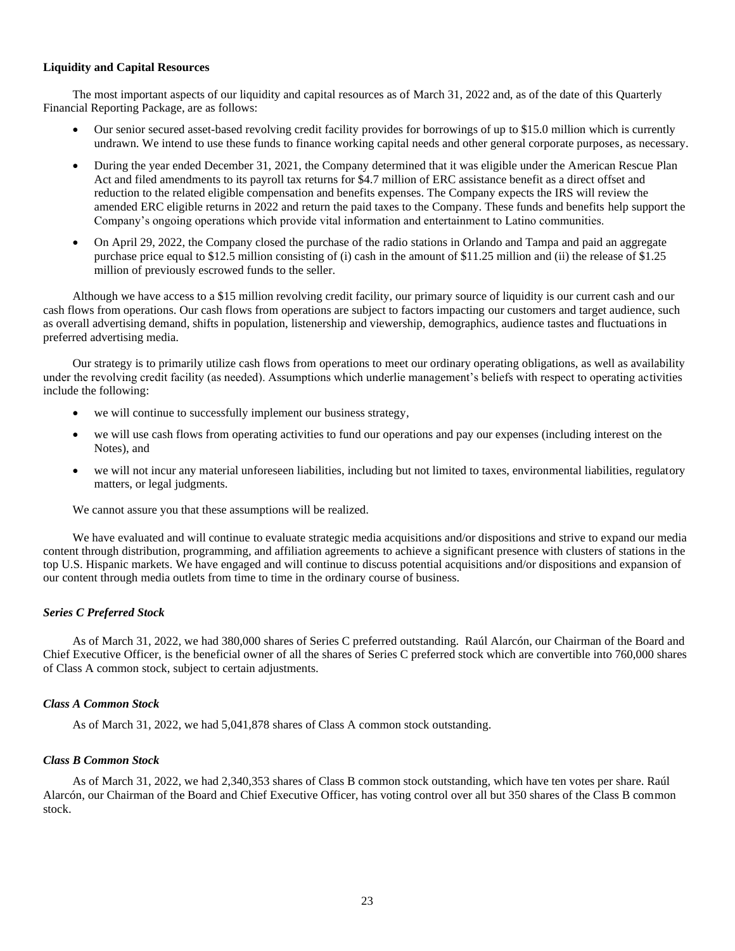## **Liquidity and Capital Resources**

The most important aspects of our liquidity and capital resources as of March 31, 2022 and, as of the date of this Quarterly Financial Reporting Package, are as follows:

- Our senior secured asset-based revolving credit facility provides for borrowings of up to \$15.0 million which is currently undrawn. We intend to use these funds to finance working capital needs and other general corporate purposes, as necessary.
- During the year ended December 31, 2021, the Company determined that it was eligible under the American Rescue Plan Act and filed amendments to its payroll tax returns for \$4.7 million of ERC assistance benefit as a direct offset and reduction to the related eligible compensation and benefits expenses. The Company expects the IRS will review the amended ERC eligible returns in 2022 and return the paid taxes to the Company. These funds and benefits help support the Company's ongoing operations which provide vital information and entertainment to Latino communities.
- On April 29, 2022, the Company closed the purchase of the radio stations in Orlando and Tampa and paid an aggregate purchase price equal to \$12.5 million consisting of (i) cash in the amount of \$11.25 million and (ii) the release of \$1.25 million of previously escrowed funds to the seller.

Although we have access to a \$15 million revolving credit facility, our primary source of liquidity is our current cash and our cash flows from operations. Our cash flows from operations are subject to factors impacting our customers and target audience, such as overall advertising demand, shifts in population, listenership and viewership, demographics, audience tastes and fluctuations in preferred advertising media.

Our strategy is to primarily utilize cash flows from operations to meet our ordinary operating obligations, as well as availability under the revolving credit facility (as needed). Assumptions which underlie management's beliefs with respect to operating activities include the following:

- we will continue to successfully implement our business strategy,
- we will use cash flows from operating activities to fund our operations and pay our expenses (including interest on the Notes), and
- we will not incur any material unforeseen liabilities, including but not limited to taxes, environmental liabilities, regulatory matters, or legal judgments.

We cannot assure you that these assumptions will be realized.

We have evaluated and will continue to evaluate strategic media acquisitions and/or dispositions and strive to expand our media content through distribution, programming, and affiliation agreements to achieve a significant presence with clusters of stations in the top U.S. Hispanic markets. We have engaged and will continue to discuss potential acquisitions and/or dispositions and expansion of our content through media outlets from time to time in the ordinary course of business.

# *Series C Preferred Stock*

As of March 31, 2022, we had 380,000 shares of Series C preferred outstanding. Raúl Alarcón, our Chairman of the Board and Chief Executive Officer, is the beneficial owner of all the shares of Series C preferred stock which are convertible into 760,000 shares of Class A common stock, subject to certain adjustments.

#### *Class A Common Stock*

As of March 31, 2022, we had 5,041,878 shares of Class A common stock outstanding.

#### *Class B Common Stock*

As of March 31, 2022, we had 2,340,353 shares of Class B common stock outstanding, which have ten votes per share. Raúl Alarcón, our Chairman of the Board and Chief Executive Officer, has voting control over all but 350 shares of the Class B common stock.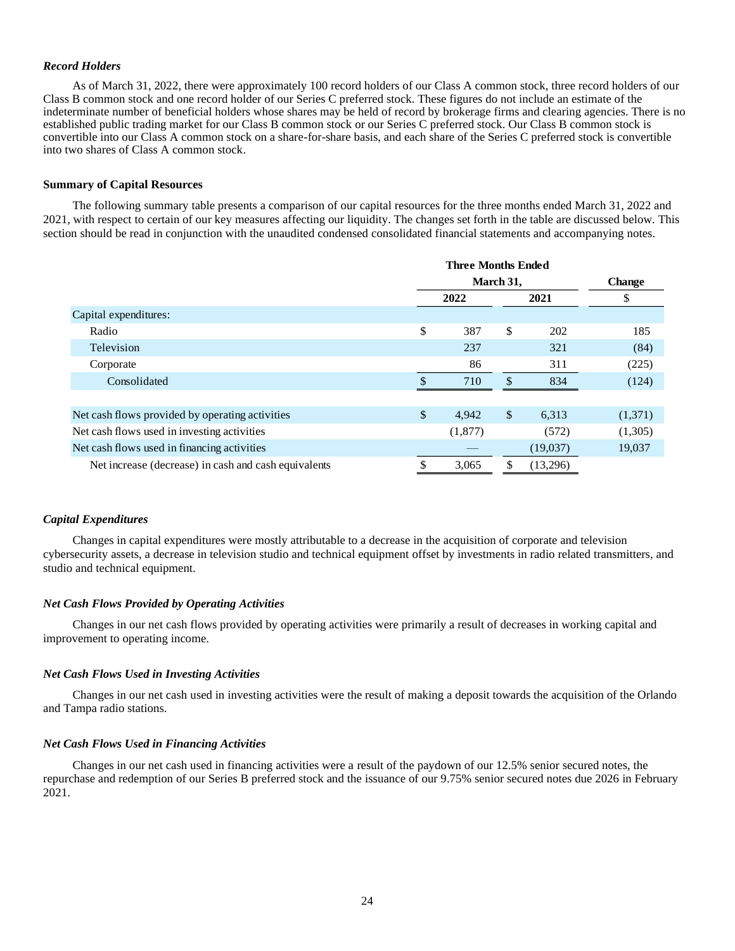### *Record Holders*

As of March 31, 2022, there were approximately 100 record holders of our Class A common stock, three record holders of our Class B common stock and one record holder of our Series C preferred stock. These figures do not include an estimate of the indeterminate number of beneficial holders whose shares may be held of record by brokerage firms and clearing agencies. There is no established public trading market for our Class B common stock or our Series C preferred stock. Our Class B common stock is convertible into our Class A common stock on a share-for-share basis, and each share of the Series C preferred stock is convertible into two shares of Class A common stock.

## **Summary of Capital Resources**

The following summary table presents a comparison of our capital resources for the three months ended March 31, 2022 and 2021, with respect to certain of our key measures affecting our liquidity. The changes set forth in the table are discussed below. This section should be read in conjunction with the unaudited condensed consolidated financial statements and accompanying notes.

|                                                      | <b>Three Months Ended</b> |           |               |          |         |
|------------------------------------------------------|---------------------------|-----------|---------------|----------|---------|
|                                                      |                           | March 31, | <b>Change</b> |          |         |
|                                                      |                           | 2022      |               | 2021     | \$      |
| Capital expenditures:                                |                           |           |               |          |         |
| Radio                                                | \$                        | 387       | \$            | 202      | 185     |
| Television                                           |                           | 237       |               | 321      | (84)    |
| Corporate                                            |                           | 86        |               | 311      | (225)   |
| Consolidated                                         |                           | 710       | \$.           | 834      | (124)   |
|                                                      |                           |           |               |          |         |
| Net cash flows provided by operating activities      | \$                        | 4,942     | \$            | 6,313    | (1,371) |
| Net cash flows used in investing activities          |                           | (1,877)   |               | (572)    | (1,305) |
| Net cash flows used in financing activities          |                           |           |               | (19,037) | 19,037  |
| Net increase (decrease) in cash and cash equivalents |                           | 3,065     |               | (13,296) |         |

#### *Capital Expenditures*

Changes in capital expenditures were mostly attributable to a decrease in the acquisition of corporate and television cybersecurity assets, a decrease in television studio and technical equipment offset by investments in radio related transmitters, and studio and technical equipment.

#### *Net Cash Flows Provided by Operating Activities*

Changes in our net cash flows provided by operating activities were primarily a result of decreases in working capital and improvement to operating income.

#### *Net Cash Flows Used in Investing Activities*

Changes in our net cash used in investing activities were the result of making a deposit towards the acquisition of the Orlando and Tampa radio stations.

#### *Net Cash Flows Used in Financing Activities*

Changes in our net cash used in financing activities were a result of the paydown of our 12.5% senior secured notes, the repurchase and redemption of our Series B preferred stock and the issuance of our 9.75% senior secured notes due 2026 in February 2021.